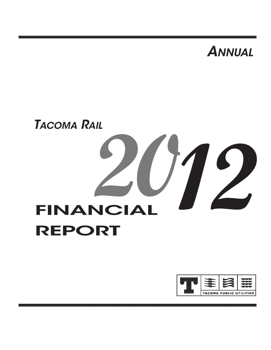## *Annual*

## *Tacoma Rail*

# FINANCIAL REPORT **2012**

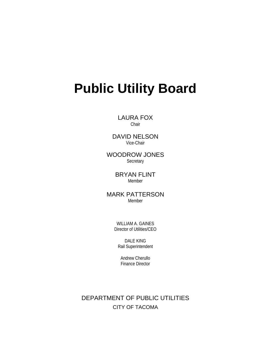## **Public Utility Board**

LAURA FOX Chair

DAVID NELSON Vice-Chair

WOODROW JONES **Secretary** 

> BRYAN FLINT Member

MARK PATTERSON Member

> WILLIAM A. GAINES Director of Utilities/CEO

DALE KING Rail Superintendent

Andrew Cherullo Finance Director

DEPARTMENT OF PUBLIC UTILITIES CITY OF TACOMA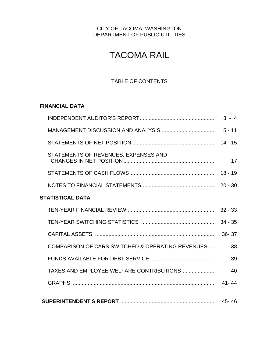#### CITY OF TACOMA, WASHINGTON DEPARTMENT OF PUBLIC UTILITIES

## TACOMA RAIL

#### TABLE OF CONTENTS

#### **FINANCIAL DATA**

|                                                  | $3 - 4$   |
|--------------------------------------------------|-----------|
|                                                  |           |
|                                                  |           |
| STATEMENTS OF REVENUES, EXPENSES AND             | 17        |
|                                                  |           |
|                                                  | $20 - 30$ |
| <b>STATISTICAL DATA</b>                          |           |
|                                                  | $32 - 33$ |
|                                                  | $34 - 35$ |
|                                                  | $36 - 37$ |
| COMPARISON OF CARS SWITCHED & OPERATING REVENUES | 38        |
|                                                  | 39        |
| TAXES AND EMPLOYEE WELFARE CONTRIBUTIONS         | 40        |
|                                                  |           |
|                                                  |           |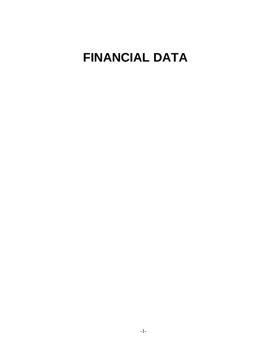## **FINANCIAL DATA**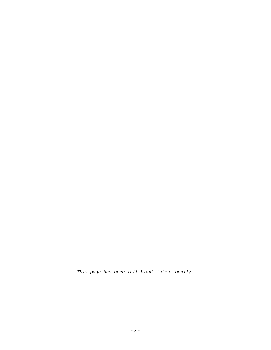*This page has been left blank intentionally.*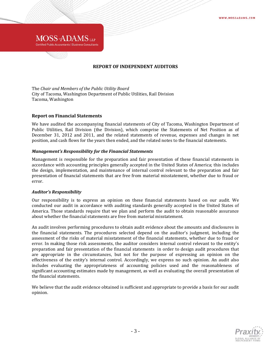

#### **REPORT OF INDEPENDENT AUDITORS**

The *Chair and Members of the Public Utility Board* City of Tacoma, Washington Department of Public Utilities, Rail Division Tacoma, Washington

#### **Report on Financial Statements**

We have audited the accompanying financial statements of City of Tacoma, Washington Department of Public Utilities, Rail Division (the Division), which comprise the Statements of Net Position as of December 31, 2012 and 2011, and the related statements of revenue, expenses and changes in net position, and cash flows for the years then ended, and the related notes to the financial statements.

#### *Management's Responsibility for the Financial Statements*

Management is responsible for the preparation and fair presentation of these financial statements in accordance with accounting principles generally accepted in the United States of America; this includes the design, implementation, and maintenance of internal control relevant to the preparation and fair presentation of financial statements that are free from material misstatement, whether due to fraud or error. 

#### *Auditor's Responsibility*

Our responsibility is to express an opinion on these financial statements based on our audit. We conducted our audit in accordance with auditing standards generally accepted in the United States of America. Those standards require that we plan and perform the audit to obtain reasonable assurance about whether the financial statements are free from material misstatement.

An audit involves performing procedures to obtain audit evidence about the amounts and disclosures in the financial statements. The procedures selected depend on the auditor's judgment, including the assessment of the risks of material misstatement of the financial statements, whether due to fraud or error. In making those risk assessments, the auditor considers internal control relevant to the entity's preparation and fair presentation of the financial statements in order to design audit procedures that are appropriate in the circumstances, but not for the purpose of expressing an opinion on the effectiveness of the entity's internal control. Accordingly, we express no such opinion. An audit also includes evaluating the appropriateness of accounting policies used and the reasonableness of significant accounting estimates made by management, as well as evaluating the overall presentation of the financial statements.

We believe that the audit evidence obtained is sufficient and appropriate to provide a basis for our audit opinion. 

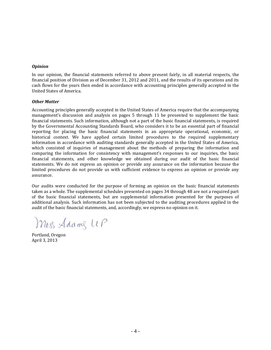#### *Opinion*

In our opinion, the financial statements referred to above present fairly, in all material respects, the financial position of Division as of December 31, 2012 and 2011, and the results of its operations and its cash flows for the years then ended in accordance with accounting principles generally accepted in the United States of America. 

#### *Other Matter*

Accounting principles generally accepted in the United States of America require that the accompanying management's discussion and analysis on pages 5 through 11 be presented to supplement the basic financial statements. Such information, although not a part of the basic financial statements, is required by the Governmental Accounting Standards Board, who considers it to be an essential part of financial reporting for placing the basic financial statements in an appropriate operational, economic, or historical context. We have applied certain limited procedures to the required supplementary information in accordance with auditing standards generally accepted in the United States of America, which consisted of inquiries of management about the methods of preparing the information and comparing the information for consistency with management's responses to our inquiries, the basic financial statements, and other knowledge we obtained during our audit of the basic financial statements. We do not express an opinion or provide any assurance on the information because the limited procedures do not provide us with sufficient evidence to express an opinion or provide any assurance. 

Our audits were conducted for the purpose of forming an opinion on the basic financial statements taken as a whole. The supplemental schedules presented on pages 34 through 48 are not a required part of the basic financial statements, but are supplemental information presented for the purposes of additional analysis. Such information has not been subjected to the auditing procedures applied in the audit of the basic financial statements, and, accordingly, we express no opinion on it.

Mess Adams LLP

Portland, Oregon April 3, 2013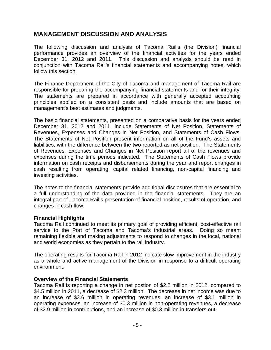#### **MANAGEMENT DISCUSSION AND ANALYSIS**

The following discussion and analysis of Tacoma Rail's (the Division) financial performance provides an overview of the financial activities for the years ended December 31, 2012 and 2011. This discussion and analysis should be read in conjunction with Tacoma Rail's financial statements and accompanying notes, which follow this section.

The Finance Department of the City of Tacoma and management of Tacoma Rail are responsible for preparing the accompanying financial statements and for their integrity. The statements are prepared in accordance with generally accepted accounting principles applied on a consistent basis and include amounts that are based on management's best estimates and judgments.

The basic financial statements, presented on a comparative basis for the years ended December 31, 2012 and 2011, include Statements of Net Position, Statements of Revenues, Expenses and Changes in Net Position, and Statements of Cash Flows. The Statements of Net Position present information on all of the Fund's assets and liabilities, with the difference between the two reported as net position. The Statements of Revenues, Expenses and Changes in Net Position report all of the revenues and expenses during the time periods indicated. The Statements of Cash Flows provide information on cash receipts and disbursements during the year and report changes in cash resulting from operating, capital related financing, non-capital financing and investing activities.

The notes to the financial statements provide additional disclosures that are essential to a full understanding of the data provided in the financial statements. They are an integral part of Tacoma Rail's presentation of financial position, results of operation, and changes in cash flow.

#### **Financial Highlights**

Tacoma Rail continued to meet its primary goal of providing efficient, cost-effective rail service to the Port of Tacoma and Tacoma's industrial areas. Doing so meant remaining flexible and making adjustments to respond to changes in the local, national and world economies as they pertain to the rail industry.

The operating results for Tacoma Rail in 2012 indicate slow improvement in the industry as a whole and active management of the Division in response to a difficult operating environment.

#### **Overview of the Financial Statements**

Tacoma Rail is reporting a change in net postion of \$2.2 million in 2012, compared to \$4.5 million in 2011, a decrease of \$2.3 million. The decrease in net income was due to an increase of \$3.6 million in operating revenues, an increase of \$3.1 million in operating expenses, an increase of \$0.3 million in non-operating revenues, a decrease of \$2.9 million in contributions, and an increase of \$0.3 million in transfers out.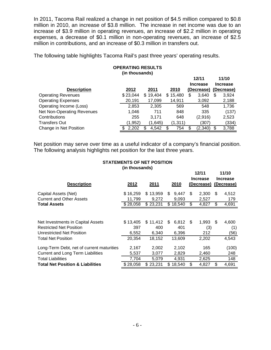In 2011, Tacoma Rail realized a change in net position of \$4.5 million compared to \$0.8 million in 2010, an increase of \$3.8 million. The increase in net income was due to an increase of \$3.9 million in operating revenues, an increase of \$2.2 million in operating expenses, a decrease of \$0.1 million in non-operating revenues, an increase of \$2.5 million in contributions, and an increase of \$0.3 million in transfers out.

The following table highlights Tacoma Rail's past three years' operating results.

#### **12/11 11/10 Increase Increase Description 2012 2011 2010 (Decrease) (Decrease)** Operating Revenues  $$ 23,044 $ 19,404 $ 15,480 $ 3,640 $ 3,924$ Operating Expenses 20,191 17,099 14,911 3,092 2,188 Operating Income (Loss) 2,853 2,305 569 548 1,736 Net Non-Operating Revenues 1,046 711 848 335 (137) Contributions 255 3,171 648 (2,916) 2,523 Transfers Out (1,952) (1,645) (1,311) (307) (334) Change in Net Position **3** 2,202 \$ 4,542 \$ 754 \$ (2,340) \$ 3,788 **OPERATING RESULTS (in thousands)**

Net position may serve over time as a useful indicator of a company's financial position. The following analysis highlights net position for the last three years.

#### **STATEMENTS OF NET POSITION (in thousands)**

| <b>Description</b>                                                                               | 2012                     | 2011                     | 2010                        |     | 12/11<br><b>Increase</b><br>(Decrease) |     | 11/10<br><b>Increase</b><br>(Decrease) |
|--------------------------------------------------------------------------------------------------|--------------------------|--------------------------|-----------------------------|-----|----------------------------------------|-----|----------------------------------------|
| Capital Assets (Net)                                                                             | \$16.259                 | \$13,959                 | 9.447<br>\$.                | \$. | 2,300                                  | \$. | 4,512                                  |
| <b>Current and Other Assets</b>                                                                  | 11,799                   | 9.272                    | 9,093                       |     | 2,527                                  |     | 179                                    |
| <b>Total Assets</b>                                                                              | \$28,058                 | \$23,231                 | \$<br>18,540                | S.  | 4,827                                  | \$  | 4,691                                  |
| Net Investments in Capital Assets<br><b>Restricted Net Position</b><br>Unrestricted Net Position | \$13.405<br>397<br>6,552 | \$11,412<br>400<br>6,340 | \$<br>6,812<br>401<br>6,396 | \$. | 1,993<br>(3)<br>212                    | \$  | 4,600<br>(1)<br>(56)                   |
| <b>Total Net Position</b>                                                                        | 20,354                   | 18,152                   | 13,609                      |     | 2,202                                  |     | 4,543                                  |
| Long-Term Debt, net of current maturities                                                        | 2,167                    | 2,002                    | 2,102                       |     | 165                                    |     | (100)                                  |
| <b>Current and Long Term Liabilities</b>                                                         | 5,537                    | 3,077                    | 2,829                       |     | 2,460                                  |     | 248                                    |
| <b>Total Liabilities</b>                                                                         | 7,704                    | 5,079                    | 4,931                       |     | 2,625                                  |     | 148                                    |
| <b>Total Net Position &amp; Liabilities</b>                                                      | \$28,058                 | \$23,231                 | 18,540<br>\$                |     | 4,827                                  | \$  | 4,691                                  |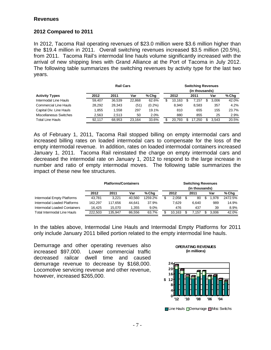#### **Revenues**

#### **2012 Compared to 2011**

In 2012, Tacoma Rail operating revenues of \$23.0 million were \$3.6 million higher than the \$19.4 million in 2011. Overall switching revenues increased \$3.5 million (20.5%), from 2011. Tacoma Rail's intermodal line hauls volume significantly increased with the arrival of new shipping lines with Grand Alliance at the Port of Tacoma in July 2012. The following table summarizes the switching revenues by activity type for the last two years.

|                              |        | <b>Rail Cars</b> |        |         |              | <b>Switching Revenues</b><br>(in thousands) |       |         |
|------------------------------|--------|------------------|--------|---------|--------------|---------------------------------------------|-------|---------|
| <b>Activity Types</b>        | 2012   | 2011             | Var    | $%$ Chg | 2012         | 2011                                        | Var   | $%$ Chg |
| Intermodal Line Hauls        | 59.407 | 36,539           | 22.868 | 62.6%   | \$<br>10,163 | 7.157                                       | 3,006 | 42.0%   |
| <b>Commercial Line Hauls</b> | 28,292 | 28.343           | (51)   | (0.2%)  | 8.940        | 8.583                                       | 357   | 4.2%    |
| Capital Div. Line Hauls      | 1.855  | 1,558            | 297    | 19.1%   | 810          | 655                                         | 155   | 23.7%   |
| Miscellaneous Switches       | 2,563  | 2.513            | 50     | 2.0%    | 880          | 855                                         | 25    | 2.9%    |
| <b>Total Line Hauls</b>      | 92,117 | 68,953           | 23.164 | 33.6%   | \$<br>20.793 | 7.250                                       | 3.543 | 20.5%   |

As of February 1, 2011, Tacoma Rail stopped billing on empty intermodal cars and increased billing rates on loaded intermodal cars to compensate for the loss of the empty intermodal revenue. In addition, rates on loaded intermodal containers increased January 1, 2011. Tacoma Rail reinstated the charge on empty intermodal cars and decreased the intermodal rate on January 1, 2012 to respond to the large increase in number and ratio of empty intermodal moves. The following table summarizes the impact of these new fee structures.

|                              | <b>Platforms/Containers</b> |         |        |         | <b>Switching Revenues</b><br>(in thousands) |       |       |         |
|------------------------------|-----------------------------|---------|--------|---------|---------------------------------------------|-------|-------|---------|
|                              | 2012                        | 2011    | Var    | $%$ Chg | 2012                                        | 2011  | Var   | $%$ Chg |
| Intermodal Empty Platforms   | 43.781                      | 3.221   | 40.560 | 1259.2% | \$<br>2.058                                 | 80    | Ⅰ.978 | 2472.5% |
| Intermodal Loaded Platforms  | 162.297                     | 117.656 | 44.641 | 37.9%   | 7.629                                       | 6.640 | 989   | 14.9%   |
| Intermodal Loaded Containers | 16.425                      | 15.070  | 1.355  | 9.0%    | 476                                         | 437   | 39    | 8.9%    |
| Total Intermodal Line Hauls  | 222.503                     | 135.947 | 86.556 | 63.7%   | 10,163                                      | 7.157 | 3.006 | 42.0%   |

In the tables above, Intermodal Line Hauls and Intermodal Empty Platforms for 2011 only include January 2011 billed portion related to the empty intermodal line hauls.

Demurrage and other operating revenues also increased \$97,000. Lower commercial traffic decreased railcar dwell time and caused demurrage revenue to decrease by \$168,000. Locomotive servicing revenue and other revenue, however, increased \$265,000.

#### **OPERATING REVENUES (in millions)**



**■Line Hauls ■Demurrage ■Misc Switchs**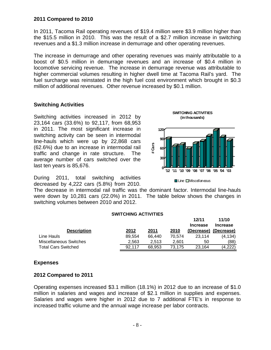#### **2011 Compared to 2010**

In 2011, Tacoma Rail operating revenues of \$19.4 million were \$3.9 million higher than the \$15.5 million in 2010. This was the result of a \$2.7 million increase in switching revenues and a \$1.3 million increase in demurrage and other operating revenues.

The increase in demurrage and other operating revenues was mainly attributable to a boost of \$0.5 million in demurrage revenues and an increase of \$0.4 million in locomotive servicing revenue. The increase in demurrage revenue was attributable to higher commercial volumes resulting in higher dwell time at Tacoma Rail's yard. The fuel surcharge was reinstated in the high fuel cost environment which brought in \$0.3 million of additional revenues. Other revenue increased by \$0.1 million.

#### **Switching Activities**

Switching activities increased in 2012 by 23,164 cars (33.6%) to 92,117, from 68,953 in 2011. The most significant increase in switching activity can be seen in intermodal line-hauls which were up by 22,868 cars (62.6%) due to an increase in intermodal rail traffic and change in rate structure. The average number of cars switched over the last ten years is 85,676.

During 2011, total switching activities decreased by 4,222 cars (5.8%) from 2010.

The decrease in intermodal rail traffic was the dominant factor. Intermodal line-hauls were down by 10,281 cars (22.0%) in 2011. The table below shows the changes in switching volumes between 2010 and 2012.

**0**

**'12 '11 '10 '09 '08 '07 '06 '05 '04 '03**

 $\Box$  Line  $\Box$  Miscellaneous

**SWITCHING ACTIVITIES (in thousands)**

**30**

**60**

**# Cars**

**90**

**120**

**SWITCHING ACTIVITIES**

|                            |        |        |        | 12/11           | 11/10           |
|----------------------------|--------|--------|--------|-----------------|-----------------|
|                            |        |        |        | <b>Increase</b> | <b>Increase</b> |
| <b>Description</b>         | 2012   | 2011   | 2010   | (Decrease)      | (Decrease)      |
| Line Hauls                 | 89.554 | 66.440 | 70.574 | 23.114          | (4, 134)        |
| Miscellaneous Switches     | 2.563  | 2.513  | 2.601  | 50              | (88)            |
| <b>Total Cars Switched</b> | 92.117 | 68.953 | 73.175 | 23,164          | (4,222)         |

### **Expenses**

#### **2012 Compared to 2011**

Operating expenses increased \$3.1 million (18.1%) in 2012 due to an increase of \$1.0 million in salaries and wages and increase of \$2.1 million in supplies and expenses. Salaries and wages were higher in 2012 due to 7 additional FTE's in response to increased traffic volume and the annual wage increase per labor contracts.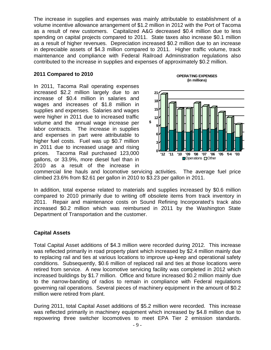The increase in supplies and expenses was mainly attributable to establishment of a volume incentive allowance arrangement of \$1.2 million in 2012 with the Port of Tacoma as a result of new customers. Capitalized A&G decreased \$0.4 million due to less spending on capital projects compared to 2011. State taxes also increase \$0.1 million as a result of higher revenues. Depreciation increased \$0.2 million due to an increase in depreciable assets of \$4.3 million compared to 2011. Higher traffic volume, track maintenance and compliance with Federal Railroad Administration regulations also contributed to the increase in supplies and expenses of approximately \$0.2 million.

#### **2011 Compared to 2010**

In 2011, Tacoma Rail operating expenses increased \$2.2 million largely due to an increase of \$0.4 million in salaries and wages and increases of \$1.8 million in supplies and expenses. Salaries and wages were higher in 2011 due to increased traffic volume and the annual wage increase per labor contracts. The increase in supplies and expenses in part were attributable to higher fuel costs. Fuel was up \$0.7 million in 2011 due to increased usage and rising prices. Tacoma Rail purchased 123,000 gallons, or 33.9%, more diesel fuel than in 2010 as a result of the increase in





commercial line hauls and locomotive servicing activities. The average fuel price climbed 23.6% from \$2.61 per gallon in 2010 to \$3.23 per gallon in 2011.

In addition, total expense related to materials and supplies increased by \$0.6 million compared to 2010 primarily due to writing off obsolete items from track inventory in 2011. Repair and maintenance costs on Sound Refining Incorporated's track also increased \$0.2 million which was reimbursed in 2011 by the Washington State Department of Transportation and the customer.

#### **Capital Assets**

Total Capital Asset additions of \$4.3 million were recorded during 2012. This increase was reflected primarily in road property plant which increased by \$2.4 million mainly due to replacing rail and ties at various locations to improve up-keep and operational safety conditions. Subsequently, \$0.6 million of replaced rail and ties at those locations were retired from service. A new locomotive servicing facility was completed in 2012 which increased buildings by \$1.7 million. Office and fixture increased \$0.2 million mainly due to the narrow-banding of radios to remain in compliance with Federal regulations governing rail operations. Several pieces of machinery equipment in the amount of \$0.2 million were retired from plant.

During 2011, total Capital Asset additions of \$5.2 million were recorded. This increase was reflected primarily in machinery equipment which increased by \$4.8 million due to repowering three switcher locomotives to meet EPA Tier 2 emission standards.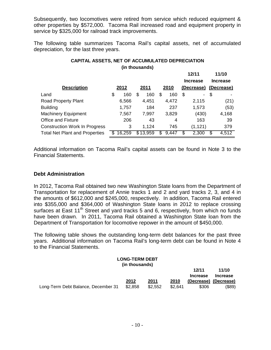Subsequently, two locomotives were retired from service which reduced equipment & other properties by \$572,000. Tacoma Rail increased road and equipment property in service by \$325,000 for railroad track improvements.

The following table summarizes Tacoma Rail's capital assets, net of accumulated depreciation, for the last three years.

| CAPITAL ASSETS, NET OF ACCUMULATED DEPRECIATION |
|-------------------------------------------------|
| (in thousands)                                  |

|                                       |      |        |   |          |   | 12/11 |   |                 |    | 11/10           |
|---------------------------------------|------|--------|---|----------|---|-------|---|-----------------|----|-----------------|
|                                       |      |        |   |          |   |       |   | <b>Increase</b> |    | <b>Increase</b> |
| <b>Description</b>                    | 2012 |        |   | 2011     |   | 2010  |   | (Decrease)      |    | (Decrease)      |
| Land                                  | \$   | 160    | S | 160      | S | 160   | S | $\sim$          | \$ |                 |
| Road Property Plant                   |      | 6,566  |   | 4,451    |   | 4,472 |   | 2,115           |    | (21)            |
| <b>Building</b>                       |      | 1,757  |   | 184      |   | 237   |   | 1,573           |    | (53)            |
| <b>Machinery Equipment</b>            |      | 7,567  |   | 7,997    |   | 3,829 |   | (430)           |    | 4,168           |
| <b>Office and Fixture</b>             |      | 206    |   | 43       |   | 4     |   | 163             |    | 39              |
| <b>Construction Work In Progress</b>  |      | 3      |   | 1,124    |   | 745   |   | (1, 121)        |    | 379             |
| <b>Total Net Plant and Properties</b> |      | 16,259 |   | \$13,959 | S | 9,447 |   | 2,300           | S  | 4,512           |

Additional information on Tacoma Rail's capital assets can be found in Note 3 to the Financial Statements.

#### **Debt Administration**

In 2012, Tacoma Rail obtained two new Washington State loans from the Department of Transportation for replacement of Annie tracks 1 and 2 and yard tracks 2, 3, and 4 in the amounts of \$612,000 and \$245,000, respectively. In addition, Tacoma Rail entered into \$355,000 and \$364,000 of Washington State loans in 2012 to replace crossing surfaces at East 11<sup>th</sup> Street and yard tracks 5 and 6, respectively, from which no funds have been drawn. In 2011, Tacoma Rail obtained a Washington State loan from the Department of Transportation for locomotive repower in the amount of \$450,000.

The following table shows the outstanding long-term debt balances for the past three years. Additional information on Tacoma Rail's long-term debt can be found in Note 4 to the Financial Statements.

#### **(in thousands) LONG-TERM DEBT**

|                                     |         |         |         | 12/11                 | 11/10           |
|-------------------------------------|---------|---------|---------|-----------------------|-----------------|
|                                     |         |         |         | <b>Increase</b>       | <b>Increase</b> |
|                                     | 2012    | 2011    | 2010    | (Decrease) (Decrease) |                 |
| Long-Term Debt Balance, December 31 | \$2,858 | \$2.552 | \$2.641 | \$306                 | (S89)           |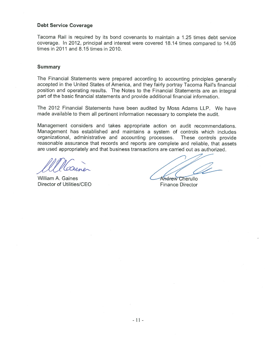#### **Debt Service Coverage**

Tacoma Rail is required by its bond covenants to maintain a 1.25 times debt service coverage. In 2012, principal and interest were covered 18.14 times compared to 14.05 times in 2011 and 8.15 times in 2010.

#### **Summary**

The Financial Statements were prepared according to accounting principles generally accepted in the United States of America, and they fairly portray Tacoma Rail's financial position and operating results. The Notes to the Financial Statements are an integral part of the basic financial statements and provide additional financial information.

The 2012 Financial Statements have been audited by Moss Adams LLP. We have made available to them all pertinent information necessary to complete the audit.

Management considers and takes appropriate action on audit recommendations. Management has established and maintains a system of controls which includes organizational, administrative and accounting processes. These controls provide reasonable assurance that records and reports are complete and reliable, that assets are used appropriately and that business transactions are carried out as authorized.

William A. Gaines Director of Utilities/CEO

Andrew Cherullo

**Finance Director**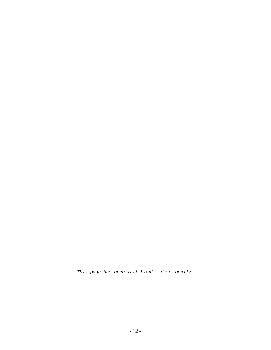*This page has been left blank intentionally.*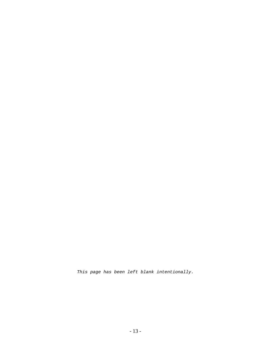*This page has been left blank intentionally.*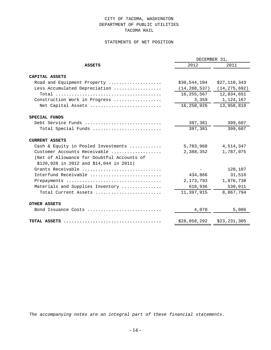#### CITY OF TACOMA, WASHINGTON DEPARTMENT OF PUBLIC UTILITIES TACOMA RAIL

#### STATEMENTS OF NET POSITION

|                                                                                                    | DECEMBER 31,                |                 |  |  |  |  |  |
|----------------------------------------------------------------------------------------------------|-----------------------------|-----------------|--|--|--|--|--|
| <b>ASSETS</b>                                                                                      | 2012                        | 2011            |  |  |  |  |  |
|                                                                                                    |                             |                 |  |  |  |  |  |
| CAPITAL ASSETS                                                                                     |                             |                 |  |  |  |  |  |
| Road and Equipment Property                                                                        | \$30,544,104                | \$27,110,343    |  |  |  |  |  |
| Less Accumulated Depreciation                                                                      | (14, 288, 537)              | (14, 275, 692)  |  |  |  |  |  |
|                                                                                                    | 16,255,567                  | 12,834,651      |  |  |  |  |  |
| Construction Work in Progress                                                                      |                             | 3,359 1,124,167 |  |  |  |  |  |
| Net Capital Assets                                                                                 | 16,258,926                  | 13,958,818      |  |  |  |  |  |
| SPECIAL FUNDS                                                                                      |                             |                 |  |  |  |  |  |
| Debt Service Funds                                                                                 | 397,381                     | 399,607         |  |  |  |  |  |
| Total Special Funds                                                                                | 397,381                     | 399,607         |  |  |  |  |  |
| <b>CURRENT ASSETS</b>                                                                              |                             |                 |  |  |  |  |  |
| Cash & Equity in Pooled Investments                                                                | 5,783,968                   | 4,514,347       |  |  |  |  |  |
| Customer Accounts Receivable                                                                       | 2,388,352                   | 1,787,075       |  |  |  |  |  |
| (Net of Allowance for Doubtful Accounts of                                                         |                             |                 |  |  |  |  |  |
| \$120,928 in 2012 and \$14,044 in 2011)                                                            |                             |                 |  |  |  |  |  |
| Grants Receivable                                                                                  |                             | 128,107         |  |  |  |  |  |
| Interfund Receivable                                                                               | 434,866                     | 31,516          |  |  |  |  |  |
|                                                                                                    | 2,173,793                   | 1,876,738       |  |  |  |  |  |
| Materials and Supplies Inventory                                                                   | 616,936                     | 530,011         |  |  |  |  |  |
| Total Current Assets                                                                               | 11,397,915                  | 8,867,794       |  |  |  |  |  |
| OTHER ASSETS                                                                                       |                             |                 |  |  |  |  |  |
| Bond Issuance Costs                                                                                | 4,070                       | 5,086           |  |  |  |  |  |
| TOTAL ASSETS $\ldots \ldots \ldots \ldots \ldots \ldots \ldots \ldots \ldots \ldots \ldots \ldots$ | $$28,058,292$ $$23,231,305$ |                 |  |  |  |  |  |

*The accompanying notes are an integral part of these financial statements.*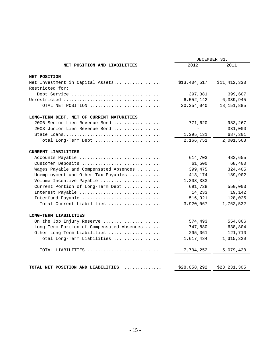|                                                     | DECEMBER 31, |                          |  |  |  |  |
|-----------------------------------------------------|--------------|--------------------------|--|--|--|--|
| NET POSITION AND LIABILITIES                        | 2012         | 2011                     |  |  |  |  |
|                                                     |              |                          |  |  |  |  |
| NET POSITION                                        |              |                          |  |  |  |  |
| Net Investment in Capital Assets<br>Restricted for: | \$13,404,517 | \$11,412,333             |  |  |  |  |
| Debt Service                                        | 397,381      | 399,607                  |  |  |  |  |
|                                                     | 6,552,142    | 6,339,945                |  |  |  |  |
| TOTAL NET POSITION                                  | 20, 354, 040 | 18, 151, 885             |  |  |  |  |
| LONG-TERM DEBT, NET OF CURRENT MATURITIES           |              |                          |  |  |  |  |
| 2006 Senior Lien Revenue Bond                       | 771,620      | 983,267                  |  |  |  |  |
| 2003 Junior Lien Revenue Bond                       |              | 331,000                  |  |  |  |  |
|                                                     | 1,395,131    | 687,301                  |  |  |  |  |
| Total Long-Term Debt                                | 2,166,751    | 2,001,568                |  |  |  |  |
| <b>CURRENT LIABILITIES</b>                          |              |                          |  |  |  |  |
| Accounts Payable                                    | 614,703      | 482,655                  |  |  |  |  |
| Customer Deposits                                   | 61,500       | 68,400                   |  |  |  |  |
| Wages Payable and Compensated Absences              | 399,475      | 324,405                  |  |  |  |  |
| Unemployment and Other Tax Payables                 | 413,174      | 189,902                  |  |  |  |  |
| Volume Incentive Payable                            | 1,208,333    | $\overline{\phantom{a}}$ |  |  |  |  |
| Current Portion of Long-Term Debt                   | 691,728      | 550,003                  |  |  |  |  |
| Interest Payable                                    | 14,233       | 19,142                   |  |  |  |  |
| Interfund Payable                                   | 516,921      | 128,025                  |  |  |  |  |
| Total Current Liabilities                           | 3,920,067    | 1,762,532                |  |  |  |  |
| LONG-TERM LIABILITIES                               |              |                          |  |  |  |  |
| On the Job Injury Reserve                           | 574,493      | 554,806                  |  |  |  |  |
| Long-Term Portion of Compensated Absences           | 747,880      | 638,804                  |  |  |  |  |
| Other Long-Term Liabilities                         | 295,061      | 121,710                  |  |  |  |  |
| Total Long-Term Liabilities                         | 1,617,434    | 1,315,320                |  |  |  |  |
| TOTAL LIABILITIES                                   | 7,704,252    | 5,079,420                |  |  |  |  |
|                                                     |              |                          |  |  |  |  |
| TOTAL NET POSITION AND LIABILITIES                  | \$28,058,292 | \$23,231,305             |  |  |  |  |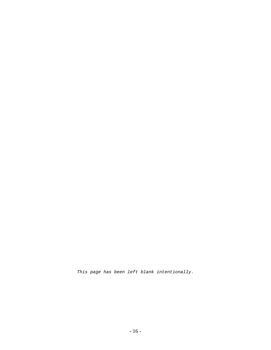*This page has been left blank intentionally.*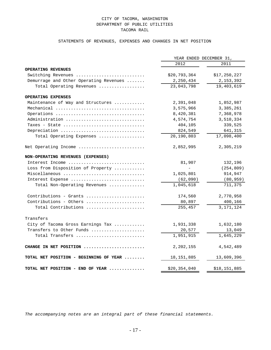#### CITY OF TACOMA, WASHINGTON DEPARTMENT OF PUBLIC UTILITIES TACOMA RAIL

#### STATEMENTS OF REVENUES, EXPENSES AND CHANGES IN NET POSITION

|                                                           | YEAR ENDED DECEMBER 31, |              |  |  |
|-----------------------------------------------------------|-------------------------|--------------|--|--|
|                                                           | 2012                    | 2011         |  |  |
| OPERATING REVENUES                                        |                         |              |  |  |
| Switching Revenues                                        | \$20,793,364            | \$17,250,227 |  |  |
| Demurrage and Other Operating Revenues                    | 2,250,434               | 2, 153, 392  |  |  |
| Total Operating Revenues                                  | 23,043,798              | 19,403,619   |  |  |
| OPERATING EXPENSES                                        |                         |              |  |  |
| Maintenance of Way and Structures                         | 2,391,048               | 1,852,987    |  |  |
| Mechanical                                                | 3,575,966               | 3,385,261    |  |  |
| Operations                                                | 8,420,381               | 7,368,978    |  |  |
| Administration                                            | 4,574,754               | 3,510,334    |  |  |
| Taxes - State                                             | 404,105                 | 339,525      |  |  |
| Depreciation                                              | 824,549                 | 641,315      |  |  |
| Total Operating Expenses                                  | 20,190,803              | 17,098,400   |  |  |
| Net Operating Income                                      | 2,852,995               | 2,305,219    |  |  |
| NON-OPERATING REVENUES (EXPENSES)                         |                         |              |  |  |
| Interest Income                                           | 81,907                  | 132,196      |  |  |
| Loss from Disposition of Property                         |                         | (254, 809)   |  |  |
| Miscellaneous                                             | 1,025,801               | 914,947      |  |  |
| Interest Expense                                          | (62,090)                | (80, 959)    |  |  |
| Total Non-Operating Revenues                              | 1,045,618               | 711,375      |  |  |
|                                                           | 174,560                 | 2,770,958    |  |  |
| Contributions - Others                                    | 80,897                  | 400,166      |  |  |
| Total Contributions                                       | 255,457                 | 3, 171, 124  |  |  |
| Transfers                                                 |                         |              |  |  |
| City of Tacoma Gross Earnings Tax                         | 1,931,338               | 1,632,180    |  |  |
| Transfers to Other Funds                                  | 20,577                  | 13,049       |  |  |
| $Total$ $Transfers$                                       | 1,951,915               | 1,645,229    |  |  |
| CHANGE IN NET POSITION                                    | 2,202,155               | 4,542,489    |  |  |
| TOTAL NET POSITION - BEGINNING OF YEAR                    | 18, 151, 885            | 13,609,396   |  |  |
| TOTAL NET POSITION - END OF YEAR $\,\ldots\ldots\ldots\,$ | \$20,354,040            | \$18,151,885 |  |  |

*The accompanying notes are an integral part of these financial statements.*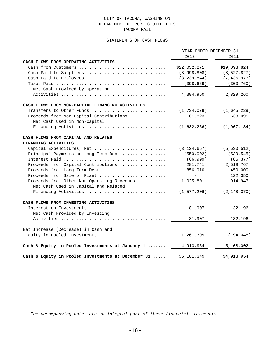#### CITY OF TACOMA, WASHINGTON DEPARTMENT OF PUBLIC UTILITIES TACOMA RAIL

#### STATEMENTS OF CASH FLOWS

|                                                    | YEAR ENDED DECEMBER 31,  |               |  |
|----------------------------------------------------|--------------------------|---------------|--|
|                                                    | 2012                     | 2011          |  |
| CASH FLOWS FROM OPERATING ACTIVITIES               |                          |               |  |
| Cash from Customers                                | \$22,032,271             | \$19,093,824  |  |
| Cash Paid to Suppliers                             | (8,998,808)              | (8, 527, 827) |  |
| Cash Paid to Employees                             | (8, 239, 844)            | (7, 435, 977) |  |
|                                                    | (398, 669)               | (300, 760)    |  |
| Net Cash Provided by Operating                     |                          |               |  |
|                                                    | 4,394,950                | 2,829,260     |  |
| CASH FLOWS FROM NON-CAPITAL FINANCING ACTIVITIES   |                          |               |  |
| Transfers to Other Funds                           | (1, 734, 079)            | (1,645,229)   |  |
| Proceeds from Non-Capital Contributions            | 101,823                  | 638,095       |  |
| Net Cash Used in Non-Capital                       |                          |               |  |
| Financing Activities                               | (1,632,256)              | (1,007,134)   |  |
| CASH FLOWS FROM CAPITAL AND RELATED                |                          |               |  |
| FINANCING ACTIVITIES                               |                          |               |  |
| Capital Expenditures, Net                          | (3, 124, 657)            | (5, 530, 512) |  |
| Principal Payments on Long-Term Debt               | (550, 002)               | (539, 545)    |  |
|                                                    | (66, 999)                | (85, 377)     |  |
| Proceeds from Capital Contributions                | 281,741                  | 2,519,767     |  |
| Proceeds from Long-Term Debt                       | 856,910                  | 450,000       |  |
| Proceeds from Sale of Plant                        | $\overline{\phantom{0}}$ | 122,350       |  |
| Proceeds from Other Non-Operating Revenues         | 1,025,801                | 914,947       |  |
| Net Cash Used in Capital and Related               |                          |               |  |
| Financing Activities                               | (1, 577, 206)            | (2, 148, 370) |  |
| CASH FLOWS FROM INVESTING ACTIVITIES               |                          |               |  |
| Interest on Investments                            | 81,907                   | 132,196       |  |
| Net Cash Provided by Investing                     |                          |               |  |
|                                                    | 81,907                   | 132,196       |  |
| Net Increase (Decrease) in Cash and                |                          |               |  |
| Equity in Pooled Investments                       | 1,267,395                | (194, 048)    |  |
| Cash & Equity in Pooled Investments at January 1   | 4,913,954                | 5,108,002     |  |
| Cash & Equity in Pooled Investments at December 31 | \$6,181,349              | \$4,913,954   |  |

 *The accompanying notes are an integral part of these financial statements.*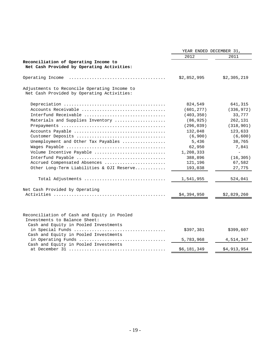|                                                                                            | YEAR ENDED DECEMBER 31, |             |
|--------------------------------------------------------------------------------------------|-------------------------|-------------|
|                                                                                            | 2012                    | 2011        |
| Reconciliation of Operating Income to                                                      |                         |             |
| Net Cash Provided by Operating Activities:                                                 |                         |             |
| Operating Income                                                                           | \$2,852,995             | \$2,305,219 |
| Adjustments to Reconcile Operating Income to<br>Net Cash Provided by Operating Activities: |                         |             |
|                                                                                            | 824,549                 | 641,315     |
| Accounts Receivable                                                                        | (601, 277)              | (336, 972)  |
| Interfund Receivable                                                                       | (403, 350)              | 33,777      |
| Materials and Supplies Inventory                                                           | (86, 925)               | 262,131     |
|                                                                                            | (296, 039)              | (318, 901)  |
|                                                                                            | 132,048                 | 123,633     |
|                                                                                            | (6,900)                 | (6, 600)    |
| Unemployment and Other Tax Payables                                                        | 5,436                   | 38,765      |
|                                                                                            | 62,950                  | 7,841       |
| Volume Incentive Payable                                                                   | 1,208,333               | $ \,$       |
|                                                                                            | 388,896                 | (16, 305)   |
| Accrued Compensated Absences                                                               | 121,196                 | 67,582      |
| Other Long-Term Liabilities & OJI Reserve                                                  | 193,038                 | 27,775      |
| Total Adjustments                                                                          | 1,541,955               | 524,041     |
| Net Cash Provided by Operating                                                             |                         |             |
|                                                                                            | \$4,394,950             | \$2,829,260 |
| Reconciliation of Cash and Equity in Pooled<br>Investments to Balance Sheet:               |                         |             |
| Cash and Equity in Pooled Investments                                                      |                         |             |
|                                                                                            | \$397,381               | \$399,607   |
| Cash and Equity in Pooled Investments                                                      |                         |             |
| in Operating Funds                                                                         | 5,783,968               | 4,514,347   |
| Cash and Equity in Pooled Investments                                                      | \$6,181,349             | \$4,913,954 |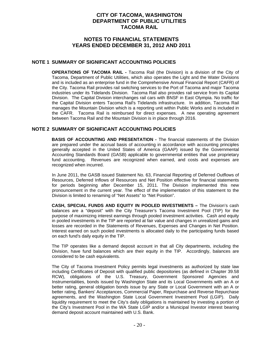#### **CITY OF TACOMA, WASHINGTON DEPARTMENT OF PUBLIC UTILITIES TACOMA RAIL**

#### **NOTES TO FINANCIAL STATEMENTS YEARS ENDED DECEMBER 31, 2012 AND 2011**

#### **NOTE 1 SUMMARY OF SIGNIFICANT ACCOUNTING POLICIES**

 **OPERATIONS OF TACOMA RAIL -** Tacoma Rail (the Division) is a division of the City of Tacoma, Department of Public Utilities, which also operates the Light and the Water Divisions and is included as an enterprise fund in the Comprehensive Annual Financial Report (CAFR) of the City. Tacoma Rail provides rail switching services to the Port of Tacoma and major Tacoma industries under its Tidelands Division. Tacoma Rail also provides rail service from its Capital Division. The Capital Division interchanges rail cars with BNSF in East Olympia. No traffic for the Capital Division enters Tacoma Rail's Tidelands infrastructure. In addition, Tacoma Rail manages the Mountain Division which is a reporting unit within Public Works and is included in the CAFR. Tacoma Rail is reimbursed for direct expenses. A new operating agreement between Tacoma Rail and the Mountain Division is in place through 2016.

#### **NOTE 2 SUMMARY OF SIGNIFICANT ACCOUNTING POLICIES**

 **BASIS OF ACCOUNTING AND PRESENTATION -** The financial statements of the Division are prepared under the accrual basis of accounting in accordance with accounting principles generally accepted in the United States of America (GAAP) issued by the Governmental Accounting Standards Board (GASB) applicable to governmental entities that use proprietary fund accounting. Revenues are recognized when earned, and costs and expenses are recognized when incurred.

In June 2011, the GASB issued Statement No. 63, Financial Reporting of Deferred Outflows of Resources, Deferred Inflows of Resources and Net Position effective for financial statements for periods beginning after December 15, 2011. The Division implemented this new pronouncement in the current year. The effect of the implementation of this statement to the Division is limited to renaming of "Net Assets" to "Net Position".

 **CASH, SPECIAL FUNDS AND EQUITY IN POOLED INVESTMENTS –** The Division's cash balances are a "deposit" with the City Treasurer's Tacoma Investment Pool (TIP) for the purpose of maximizing interest earnings through pooled investment activities. Cash and equity in pooled investments in the TIP are reported at fair value and changes in unrealized gains and losses are recorded in the Statements of Revenues, Expenses and Changes in Net Position. Interest earned on such pooled investments is allocated daily to the participating funds based on each fund's daily equity in the TIP.

 The TIP operates like a demand deposit account in that all City departments, including the Division, have fund balances which are their equity in the TIP. Accordingly, balances are considered to be cash equivalents.

 The City of Tacoma Investment Policy permits legal investments as authorized by state law including Certificates of Deposit with qualified public depositories (as defined in Chapter 39.58 RCW), obligations of the U.S. Treasury, Government Sponsored Agencies and Instrumentalities, bonds issued by Washington State and its Local Governments with an A or better rating, general obligation bonds issue by any State or Local Government with an A or better rating, Bankers' Acceptances, Commercial Paper, Repurchase and Reverse Repurchase agreements, and the Washington State Local Government Investment Pool (LGIP). Daily liquidity requirement to meet the City's daily obligations is maintained by investing a portion of the City's Investment Pool in the WA State LGIP and/or a Municipal Investor interest bearing demand deposit account maintained with U.S. Bank.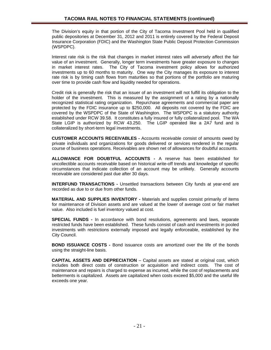The Division's equity in that portion of the City of Tacoma Investment Pool held in qualified public depositories at December 31, 2012 and 2011 is entirely covered by the Federal Deposit Insurance Corporation (FDIC) and the Washington State Public Deposit Protection Commission (WSPDPC).

 Interest rate risk is the risk that changes in market interest rates will adversely affect the fair value of an investment. Generally, longer term investments have greater exposure to changes in market interest rates. The City of Tacoma investment policy allows for authorized investments up to 60 months to maturity. One way the City manages its exposure to interest rate risk is by timing cash flows from maturities so that portions of the portfolio are maturing over time to provide cash flow and liquidity needed for operations.

Credit risk is generally the risk that an issuer of an investment will not fulfill its obligation to the holder of the investment. This is measured by the assignment of a rating by a nationally recognized statistical rating organization. Repurchase agreements and commercial paper are protected by the FDIC insurance up to \$250,000. All deposits not covered by the FDIC are covered by the WSPDPC of the State of Washington. The WSPDPC is a statutory authority established under RCW 39.58. It constitutes a fully insured or fully collateralized pool. The WA State LGIP is authorized by RCW 43.250. The LGIP operated like a 2A7 fund and is collateralized by short-term legal investments.

 **CUSTOMER ACCOUNTS RECEIVABLES -** Accounts receivable consist of amounts owed by private individuals and organizations for goods delivered or services rendered in the regular course of business operations. Receivables are shown net of allowances for doubtful accounts.

 **ALLOWANCE FOR DOUBTFUL ACCOUNTS -** A reserve has been established for uncollectible accounts receivable based on historical write-off trends and knowledge of specific circumstances that indicate collection of an account may be unlikely. Generally accounts receivable are considered past due after 30 days.

 **INTERFUND TRANSACTIONS -** Unsettled transactions between City funds at year-end are recorded as due to or due from other funds.

 **MATERIAL AND SUPPLIES INVENTORY -** Materials and supplies consist primarily of items for maintenance of Division assets and are valued at the lower of average cost or fair market value. Also included is fuel inventory valued at cost.

 **SPECIAL FUNDS -** In accordance with bond resolutions, agreements and laws, separate restricted funds have been established. These funds consist of cash and investments in pooled investments with restrictions externally imposed and legally enforceable, established by the City Council.

 **BOND ISSUANCE COSTS -** Bond issuance costs are amortized over the life of the bonds using the straight-line basis.

**CAPITAL ASSETS AND DEPRECIATION** – Capital assets are stated at original cost, which includes both direct costs of construction or acquisition and indirect costs. The cost of maintenance and repairs is charged to expense as incurred, while the cost of replacements and betterments is capitalized. Assets are capitalized when costs exceed \$5,000 and the useful life exceeds one year.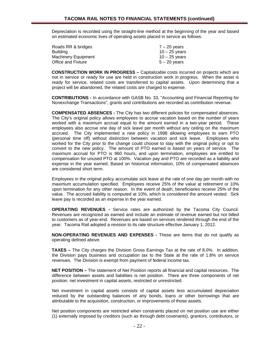Depreciation is recorded using the straight-line method at the beginning of the year and based on estimated economic lives of operating assets placed in service as follows:

| Roads RR & bridges         | $7 - 20$ years  |
|----------------------------|-----------------|
| <b>Building</b>            | $10 - 25$ years |
| <b>Machinery Equipment</b> | $10 - 25$ years |
| Office and Fixture         | $5 - 20$ years  |

 **CONSTRUCTION WORK IN PROGRESS –** Capitalizable costs incurred on projects which are not in service or ready for use are held in construction work in progress. When the asset is ready for service, related costs are transferred to capital assets. Upon determining that a project will be abandoned, the related costs are charged to expense.

 **CONTRIBUTIONS -** In accordance with GASB No. 33, "Accounting and Financial Reporting for Nonexchange Transactions", grants and contributions are recorded as contribution revenue.

 **COMPENSATED ABSENCES -** The City has two different policies for compensated absences. The City's original policy allows employees to accrue vacation based on the number of years worked with a maximum accrual equal to the amount earned in a two-year period. These employees also accrue one day of sick leave per month without any ceiling on the maximum accrued. The City implemented a new policy in 1998 allowing employees to earn PTO (personal time off) without distinction between vacation and sick leave. Employees who worked for the City prior to the change could choose to stay with the original policy or opt to convert to the new policy. The amount of PTO earned is based on years of service. The maximum accrual for PTO is 960 hours, and upon termination, employees are entitled to compensation for unused PTO at 100%. Vacation pay and PTO are recorded as a liability and expense in the year earned. Based on historical information, 10% of compensated absences are considered short term.

 Employees in the original policy accumulate sick leave at the rate of one day per month with no maximum accumulation specified. Employees receive 25% of the value at retirement or 10% upon termination for any other reason. In the event of death, beneficiaries receive 25% of the value. The accrued liability is computed at 10%, which is considered the amount vested. Sick leave pay is recorded as an expense in the year earned.

 **OPERATING REVENUES -** Service rates are authorized by the Tacoma City Council. Revenues are recognized as earned and include an estimate of revenue earned but not billed to customers as of year-end. Revenues are based on services rendered through the end of the year. Tacoma Rail adopted a revision to its rate structure effective January 1, 2012.

**NON-OPERATING REVENUES AND EXPENSES -** These are items that do not qualify as operating defined above.

 **TAXES –** The City charges the Division Gross Earnings Tax at the rate of 8.0%. In addition, the Division pays business and occupation tax to the State at the rate of 1.8% on service revenues. The Division is exempt from payment of federal income tax.

 **NET POSITION –** The statement of Net Position reports all financial and capital resources. The difference between assets and liabilities is net position. There are three components of net position: net investment in capital assets, restricted or unrestricted.

 Net investment in capital assets consists of capital assets less accumulated depreciation reduced by the outstanding balances of any bonds, loans or other borrowings that are attributable to the acquisition, construction, or improvements of those assets.

 Net position components are restricted when constraints placed on net position use are either (1) externally imposed by creditors (such as through debt covenants), grantors, contributors, or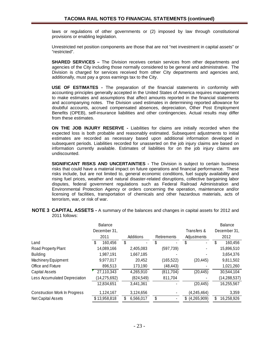laws or regulations of other governments or (2) imposed by law through constitutional provisions or enabling legislation.

 Unrestricted net position components are those that are not "net investment in capital assets" or "restricted".

 **SHARED SERVICES –** The Division receives certain services from other departments and agencies of the City including those normally considered to be general and administrative. The Division is charged for services received from other City departments and agencies and, additionally, must pay a gross earnings tax to the City.

 **USE OF ESTIMATES -** The preparation of the financial statements in conformity with accounting principles generally accepted in the United States of America requires management to make estimates and assumptions that affect amounts reported in the financial statements and accompanying notes. The Division used estimates in determining reported allowance for doubtful accounts, accrued compensated absences, depreciation, Other Post Employment Benefits (OPEB), self-insurance liabilities and other contingencies. Actual results may differ from these estimates.

 **ON THE JOB INJURY RESERVE -** Liabilities for claims are initially recorded when the expected loss is both probable and reasonably estimated. Subsequent adjustments to initial estimates are recorded as necessary based upon additional information developed in subsequent periods. Liabilities recorded for unasserted on the job injury claims are based on information currently available. Estimates of liabilities for on the job injury claims are undiscounted.

 **SIGNIFICANT RISKS AND UNCERTAINTIES -** The Division is subject to certain business risks that could have a material impact on future operations and financial performance. These risks include, but are not limited to, general economic conditions, fuel supply availability and rising fuel prices, weather and natural disaster-related disruptions, collective bargaining labor disputes, federal government regulations such as Federal Railroad Administration and Environmental Protection Agency or orders concerning the operation, maintenance and/or licensing of facilities, transportation of chemicals and other hazardous materials, acts of terrorism, war, or risk of war.

**NOTE 3 CAPITAL ASSETS -** A summary of the balances and changes in capital assets for 2012 and 2011 follows:

|                                      | <b>Balance</b><br>December 31, |            |             | Transfers &       | Balance<br>December 31, |
|--------------------------------------|--------------------------------|------------|-------------|-------------------|-------------------------|
|                                      | 2011                           | Additions  | Retirements | Adjustments       | 2012                    |
| Land                                 | 160,456                        | \$         | S           | S                 | \$<br>160,456           |
| Road Property Plant                  | 14,089,166                     | 2,405,083  | (597,739)   |                   | 15,896,510              |
| <b>Building</b>                      | 1,987,191                      | 1,667,185  |             |                   | 3,654,376               |
| Machinery Equipment                  | 9,977,017                      | 20,452     | (165,522)   | (20, 445)         | 9,811,502               |
| Office and Fixture                   | 896,513                        | 173,190    | (48, 443)   |                   | 1,021,260               |
| Capital Assets                       | 27,110,343                     | 4,265,910  | (811, 704)  | (20, 445)         | 30,544,104              |
| Less Accumulated Depreciation        | (14, 275, 692)                 | (824, 549) | 811,704     |                   | (14, 288, 537)          |
|                                      | 12,834,651                     | 3,441,361  |             | (20, 445)         | 16,255,567              |
| <b>Construction Work In Progress</b> | 1,124,167                      | 3,124,656  |             | (4, 245, 464)     | 3,359                   |
| Net Capital Assets                   | \$13,958,818                   | 6,566,017  | \$          | \$<br>(4,265,909) | \$<br>16,258,926        |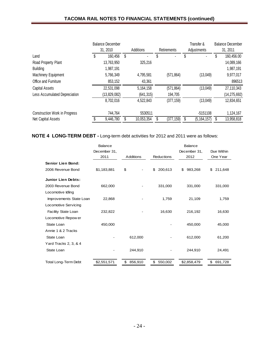#### **TACOMA RAIL NOTES TO FINANCIAL STATEMENTS (continued)**

|                                      |    | <b>Balance December</b> |   |            |   |             | Transfer &          |   | <b>Balance December</b> |
|--------------------------------------|----|-------------------------|---|------------|---|-------------|---------------------|---|-------------------------|
|                                      |    | 31, 2010                |   | Additions  |   | Retirements | Adjustments         |   | 31, 2011                |
| Land                                 | S  | 160,456                 | S | ٠          | S |             | \$                  | J | 160,456.00              |
| Road Property Plant                  |    | 13,763,950              |   | 325,216    |   |             |                     |   | 14,089,166              |
| <b>Building</b>                      |    | 1,987,191               |   |            |   |             |                     |   | 1,987,191               |
| Machinery Equipment                  |    | 5,766,349               |   | 4,795,581  |   | (571, 864)  | (13,049)            |   | 9,977,017               |
| Office and Furniture                 |    | 853,152                 |   | 43,361     |   |             |                     |   | 896513                  |
| <b>Capital Assets</b>                |    | 22,531,098              |   | 5,164,158  |   | (571, 864)  | (13,049)            |   | 27,110,343              |
| Less Accumulated Depreciation        |    | (13, 829, 082)          |   | (641, 315) |   | 194,705     |                     |   | (14, 275, 692)          |
|                                      |    | 8,702,016               |   | 4,522,843  |   | (377, 159)  | (13,049)            |   | 12,834,651              |
| <b>Construction Work in Progress</b> |    | 744,764                 |   | 5530511    |   |             | $-5151108$          |   | 1,124,167               |
| Net Capital Assets                   | \$ | 9,446,780               |   | 10,053,354 | S | (377, 159)  | \$<br>(5, 164, 157) |   | 13,958,818              |

**NOTE 4 LONG-TERM DEBT -** Long-term debt activities for 2012 and 2011 were as follows:

|                            | <b>Balance</b> |                  |                   | <b>Balance</b> |               |
|----------------------------|----------------|------------------|-------------------|----------------|---------------|
|                            | December 31,   |                  |                   | December 31,   | Due Within    |
|                            | 2011           | <b>Additions</b> | <b>Reductions</b> | 2012           | One Year      |
| <b>Senior Lien Bond:</b>   |                |                  |                   |                |               |
| 2006 Revenue Bond          | \$1,183,881    | \$               | 200,613<br>\$     | \$<br>983,268  | \$<br>211,648 |
| <b>Junior Lien Debts:</b>  |                |                  |                   |                |               |
| 2003 Revenue Bond          | 662,000        |                  | 331,000           | 331,000        | 331,000       |
| Locomotive Idling          |                |                  |                   |                |               |
| Improvements State Loan    | 22,868         |                  | 1,759             | 21,109         | 1,759         |
| Locomotive Servicing       |                |                  |                   |                |               |
| <b>Facility State Loan</b> | 232,822        |                  | 16,630            | 216,192        | 16,630        |
| Locomotive Repow er        |                |                  |                   |                |               |
| State Loan                 | 450,000        |                  |                   | 450,000        | 45,000        |
| Annie 1 & 2 Tracks         |                |                  |                   |                |               |
| State Loan                 |                | 612,000          |                   | 612,000        | 61,200        |
| Yard Tracks 2, 3, & 4      |                |                  |                   |                |               |
| State Loan                 |                | 244,910          |                   | 244,910        | 24,491        |
| Total Long-Term Debt       | \$2,551,571    | \$<br>856,910    | \$<br>550,002     | \$2,858,479    | \$<br>691,728 |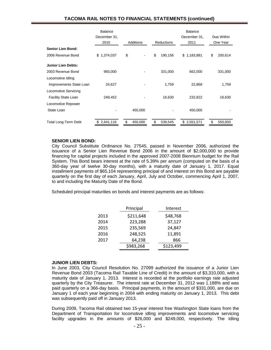#### **TACOMA RAIL NOTES TO FINANCIAL STATEMENTS (continued)**

|                             | <b>Balance</b>  |                  |                   | <b>Balance</b> |               |
|-----------------------------|-----------------|------------------|-------------------|----------------|---------------|
|                             | December 31,    |                  |                   | December 31,   | Due Within    |
|                             | 2010            | <b>Additions</b> | <b>Reductions</b> | 2011           | One Year      |
| <b>Senior Lien Bond:</b>    |                 |                  |                   |                |               |
| 2006 Revenue Bond           | 1,374,037<br>\$ | \$<br>۰          | \$<br>190,156     | \$1,183,881    | \$<br>200,614 |
| <b>Junior Lien Debts:</b>   |                 |                  |                   |                |               |
| 2003 Revenue Bond           | 993,000         |                  | 331,000           | 662,000        | 331,000       |
| Locomotive Idling           |                 |                  |                   |                |               |
| Improvements State Loan     | 24,627          |                  | 1,759             | 22,868         | 1,759         |
| <b>Locomotive Servicing</b> |                 |                  |                   |                |               |
| <b>Facility State Loan</b>  | 249,452         |                  | 16,630            | 232,822        | 16,630        |
| Locomotive Repower          |                 |                  |                   |                |               |
| State Loan                  |                 | 450,000          |                   | 450,000        |               |
| <b>Total Long-Term Debt</b> | \$2,641,116     | \$<br>450,000    | \$<br>539,545     | \$2,551,571    | \$<br>550,003 |

#### **SENIOR LIEN BOND:**

City Council Substitute Ordinance No. 27545, passed in November 2006, authorized the issuance of a Senior Lien Revenue Bond 2006 in the amount of \$2,000,000 to provide financing for capital projects included in the approved 2007-2008 Biennium budget for the Rail System. This Bond bears interest at the rate of 5.39% per annum (computed on the basis of a 360-day year of twelve 30-day months), with a maturity date of January 1, 2017. Equal installment payments of \$65,104 representing principal of and interest on this Bond are payable quarterly on the first day of each January, April, July and October, commencing April 1, 2007, to and including the Maturity Date of the Bond.

Scheduled principal maturities on bonds and interest payments are as follows:

|      | Principal | Interest  |
|------|-----------|-----------|
| 2013 | \$211,648 | \$48,768  |
| 2014 | 223,288   | 37,127    |
| 2015 | 235,569   | 24,847    |
| 2016 | 248,525   | 11,891    |
| 2017 | 64,238    | 866       |
|      | \$983,268 | \$123,499 |

#### **JUNIOR LIEN DEBTS:**

In June 2003, City Council Resolution No. 27099 authorized the issuance of a Junior Lien Revenue Bond 2003 (Tacoma Rail Taxable Line of Credit) in the amount of \$3,310,000, with a maturity date of January 1, 2013. Interest is recorded at the portfolio earnings rate adjusted quarterly by the City Treasurer. The interest rate at December 31, 2012 was 1.188% and was paid quarterly on a 366-day basis. Principal payments, in the amount of \$331,000, are due on January 1 of each year beginning in 2004 with ending maturity on January 1, 2013. This debt was subsequently paid off in January 2013.

 During 2009, Tacoma Rail obtained two 15-year interest free Washington State loans from the Department of Transportation for locomotive idling improvements and locomotive servicing facility upgrades in the amounts of \$26,000 and \$249,000, respectively. The Idling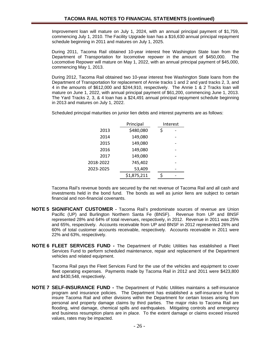Improvement loan will mature on July 1, 2024, with an annual principal payment of \$1,759, commencing July 1, 2010. The Facility Upgrade loan has a \$16,630 annual principal repayment schedule beginning in 2011 and matures on July 1, 2025.

 During 2011, Tacoma Rail obtained 10-year interest free Washington State loan from the Department of Transportation for locomotive repower in the amount of \$450,000. The Locomotive Repower will mature on May 1, 2022, with an annual principal payment of \$45,000, commencing May 1, 2013.

 During 2012, Tacoma Rail obtained two 10-year interest free Washington State loans from the Department of Transportation for replacement of Annie tracks 1 and 2 and yard tracks 2, 3, and 4 in the amounts of \$612,000 and \$244,910, respectively. The Annie 1 & 2 Tracks loan will mature on June 1, 2022, with annual principal payment of \$61,200, commencing June 1, 2013. The Yard Tracks 2, 3, & 4 loan has a \$24,491 annual principal repayment schedule beginning in 2013 and matures on July 1, 2022.

Scheduled principal maturities on junior lien debts and interest payments are as follows:

|           | Principal   |    | Interest |
|-----------|-------------|----|----------|
| 2013      | \$480,080   | \$ |          |
| 2014      | 149,080     |    |          |
| 2015      | 149,080     |    |          |
| 2016      | 149,080     |    |          |
| 2017      | 149,080     |    |          |
| 2018-2022 | 745,402     |    |          |
| 2023-2025 | 53,409      |    |          |
|           | \$1,875,211 |    |          |

 Tacoma Rail's revenue bonds are secured by the net revenue of Tacoma Rail and all cash and investments held in the bond fund. The bonds as well as junior liens are subject to certain financial and non-financial covenants.

- **NOTE 5 SIGNIFICANT CUSTOMER -** Tacoma Rail's predominate sources of revenue are Union Pacific (UP) and Burlington Northern Santa Fe (BNSF). Revenue from UP and BNSF represented 28% and 64% of total revenues, respectively, in 2012. Revenue in 2011 was 25% and 65%, respectively. Accounts receivable from UP and BNSF in 2012 represented 26% and 60% of total customer accounts receivable, respectively. Accounts receivable in 2011 were 22% and 63%, respectively.
- **NOTE 6 FLEET SERVICES FUND -** The Department of Public Utilities has established a Fleet Services Fund to perform scheduled maintenance, repair and replacement of the Department vehicles and related equipment.

Tacoma Rail pays the Fleet Services Fund for the use of the vehicles and equipment to cover fleet operating expenses. Payments made by Tacoma Rail in 2012 and 2011 were \$423,800 and \$430,548, respectively.

**NOTE 7 SELF-INSURANCE FUND -** The Department of Public Utilities maintains a self-insurance program and insurance policies. The Department has established a self-insurance fund to insure Tacoma Rail and other divisions within the Department for certain losses arising from personal and property damage claims by third parties. The major risks to Tacoma Rail are flooding, wind damage, chemical spills and earthquakes. Mitigating controls and emergency and business resumption plans are in place. To the extent damage or claims exceed insured values, rates may be impacted.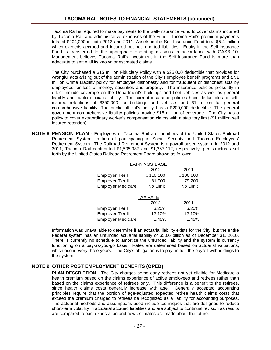Tacoma Rail is required to make payments to the Self-Insurance Fund to cover claims incurred by Tacoma Rail and administrative expenses of the Fund. Tacoma Rail's premium payments totaled \$204,000 in both 2012 and 2011. Assets in the Self-Insurance Fund total \$5.4 million which exceeds accrued and incurred but not reported liabilities. Equity in the Self-Insurance Fund is transferred to the appropriate operating divisions in accordance with GASB 10. Management believes Tacoma Rail's investment in the Self-Insurance Fund is more than adequate to settle all its known or estimated claims.

 The City purchased a \$15 million Fiduciary Policy with a \$25,000 deductible that provides for wrongful acts arising out of the administration of the City's employee benefit programs and a \$1 million Crime Liability policy for employee dishonesty and for fraudulent or dishonest acts by employees for loss of money, securities and property. The insurance policies presently in effect include coverage on the Department's buildings and fleet vehicles as well as general liability and public official's liability. The current insurance policies have deductibles or selfinsured retentions of \$250,000 for buildings and vehicles and \$1 million for general comprehensive liability. The public official's policy has a \$200,000 deductible. The general government comprehensive liability policies provide \$15 million of coverage. The City has a policy to cover extraordinary worker's compensation claims with a statutory limit (\$1 million self insured retention).

**NOTE 8 PENSION PLAN -** Employees of Tacoma Rail are members of the United States Railroad Retirement System, in lieu of participating in Social Security and Tacoma Employees' Retirement System. The Railroad Retirement System is a payroll-based system. In 2012 and 2011, Tacoma Rail contributed \$1,505,987 and \$1,367,112, respectively, per structures set forth by the United States Railroad Retirement Board shown as follows:

| <b>EARNINGS BASE</b>     |                 |           |  |  |
|--------------------------|-----------------|-----------|--|--|
|                          | 2012            | 2011      |  |  |
| Employer Tier I          | \$110,100       | \$106,800 |  |  |
| Employer Tier II         | 81,900          | 79,200    |  |  |
| <b>Employer Medicare</b> | No Limit        | No Limit  |  |  |
|                          | <b>TAX RATE</b> |           |  |  |
|                          | 2012            | 2011      |  |  |
| Employer Tier I          | 6.20%           | 6.20%     |  |  |
| Employer Tier II         | 12.10%          | 12.10%    |  |  |
| <b>Employer Medicare</b> | 1.45%           | 1.45%     |  |  |

 Information was unavailable to determine if an actuarial liability exists for the City, but the entire Federal system has an unfunded actuarial liability of \$50.6 billion as of December 31, 2010. There is currently no schedule to amortize the unfunded liability and the system is currently functioning on a pay-as-you-go basis. Rates are determined based on actuarial valuations, which occur every three years. The City's obligation is to pay, in full, the payroll withholdings to the system.

#### **NOTE 9 OTHER POST EMPLOYMENT BENEFITS (OPEB)**

**PLAN DESCRIPTION** - The City charges some early retirees not yet eligible for Medicare a health premium based on the claims experience of active employees and retirees rather than based on the claims experience of retirees only. This difference is a benefit to the retirees, since health claims costs generally increase with age. Generally accepted accounting principles require that the portion of age-adjusted expected retiree health claims costs that exceed the premium charged to retirees be recognized as a liability for accounting purposes. The actuarial methods and assumptions used include techniques that are designed to reduce short-term volatility in actuarial accrued liabilities and are subject to continual revision as results are compared to past expectation and new estimates are made about the future.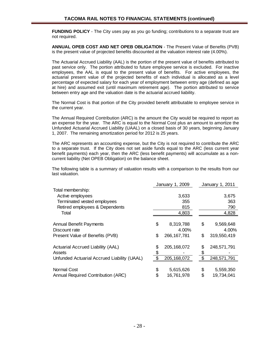**FUNDING POLICY** - The City uses pay as you go funding; contributions to a separate trust are not required.

**ANNUAL OPEB COST AND NET OPEB OBLIGATION** - The Present Value of Benefits (PVB) is the present value of projected benefits discounted at the valuation interest rate (4.00%).

 The Actuarial Accrued Liability (AAL) is the portion of the present value of benefits attributed to past service only. The portion attributed to future employee service is excluded. For inactive employees, the AAL is equal to the present value of benefits. For active employees, the actuarial present value of the projected benefits of each individual is allocated as a level percentage of expected salary for each year of employment between entry age (defined as age at hire) and assumed exit (until maximum retirement age). The portion attributed to service between entry age and the valuation date is the actuarial accrued liability.

 The Normal Cost is that portion of the City provided benefit attributable to employee service in the current year.

 The Annual Required Contribution (ARC) is the amount the City would be required to report as an expense for the year. The ARC is equal to the Normal Cost plus an amount to amortize the Unfunded Actuarial Accrued Liability (UAAL) on a closed basis of 30 years, beginning January 1, 2007. The remaining amortization period for 2012 is 25 years.

 The ARC represents an accounting expense, but the City is not required to contribute the ARC to a separate trust. If the City does not set aside funds equal to the ARC (less current year benefit payments) each year, then the ARC (less benefit payments) will accumulate as a noncurrent liability (Net OPEB Obligation) on the balance sheet.

 The following table is a summary of valuation results with a comparison to the results from our last valuation.

|                                             | January 1, 2009     | January 1, 2011   |
|---------------------------------------------|---------------------|-------------------|
| Total membership:                           |                     |                   |
| Active employees                            | 3,633               | 3,675             |
| Terminated vested employees                 | 355                 | 363               |
| Retired employees & Dependents              | 815                 | 790               |
| Total                                       | 4,803               | 4,828             |
|                                             |                     |                   |
| <b>Annual Benefit Payments</b>              | \$<br>8,319,788     | \$<br>9,569,648   |
| Discount rate                               | 4.00%               | 4.00%             |
| Present Value of Benefits (PVB)             | \$<br>266, 167, 781 | \$<br>319,550,419 |
| Actuarial Accrued Liability (AAL)           | \$<br>205, 168, 072 | \$<br>248,571,791 |
| Assets                                      | \$                  |                   |
| Unfunded Actuarial Accrued Liability (UAAL) | \$<br>205, 168, 072 | \$<br>248,571,791 |
|                                             |                     |                   |
| <b>Normal Cost</b>                          | \$<br>5,615,626     | \$<br>5,559,350   |
| Annual Required Contribution (ARC)          | \$<br>16,761,978    | \$<br>19,734,041  |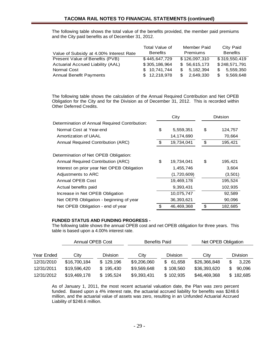#### **TACOMA RAIL NOTES TO FINANCIAL STATEMENTS (continued)**

The following table shows the total value of the benefits provided, the member paid premiums and the City paid benefits as of December 31, 2012.

|                                         | Total Value of  | Member Paid   | City Paid       |
|-----------------------------------------|-----------------|---------------|-----------------|
| Value of Subsidy at 4.00% Interest Rate | <b>Benefits</b> | Premiums      | <b>Benefits</b> |
| Present Value of Benefits (PVB)         | \$445.647.729   | \$126.097.310 | \$319,550,419   |
| Actuarial Accrued Liability (AAL)       | \$305,186,964   | \$56,615,173  | \$248,571,791   |
| Normal Cost                             | \$10,741,744    | 5.182.394     | 5.559.350       |
| <b>Annual Benefit Payments</b>          | \$12,218,978    | 2,649,330     | 9,569,648       |

The following table shows the calculation of the Annual Required Contribution and Net OPEB Obligation for the City and for the Division as of December 31, 2012. This is recorded within Other Deferred Credits.

|                                                | City |             | <b>Division</b> |  |
|------------------------------------------------|------|-------------|-----------------|--|
| Determination of Annual Required Contribution: |      |             |                 |  |
| Normal Cost at Year-end                        | \$   | 5,559,351   | \$<br>124,757   |  |
| Amortization of UAAL                           |      | 14,174,690  | 70,664          |  |
| Annual Required Contribution (ARC)             | \$   | 19,734,041  | \$<br>195,421   |  |
|                                                |      |             |                 |  |
| Determination of Net OPEB Obligation:          |      |             |                 |  |
| Annual Required Contribution (ARC)             | \$   | 19,734,041  | \$<br>195,421   |  |
| Interest on prior year Net OPEB Obligation     |      | 1,455,746   | 3,604           |  |
| Adjustments to ARC                             |      | (1,720,609) | (3,501)         |  |
| Annual OPEB Cost                               |      | 19,469,178  | 195,524         |  |
| Actual benefits paid                           |      | 9,393,431   | 102,935         |  |
| Increase in Net OPEB Obligation                |      | 10,075,747  | 92,589          |  |
| Net OEPB Obligation - beginning of year        |      | 36,393,621  | 90,096          |  |
| Net OPEB Obligation - end of year              |      | 46,469,368  | \$<br>182,685   |  |

#### **FUNDED STATUS AND FUNDING PROGRESS -**

The following table shows the annual OPEB cost and net OPEB obligation for three years. This table is based upon a 4.00% interest rate.

|            | Annual OPEB Cost |                 | <b>Benefits Paid</b> |                 | Net OPEB Obligation |                 |  |
|------------|------------------|-----------------|----------------------|-----------------|---------------------|-----------------|--|
|            |                  |                 |                      |                 |                     |                 |  |
| Year Ended | City             | <b>Division</b> | City                 | <b>Division</b> | City                | <b>Division</b> |  |
| 12/31/2010 | \$16,700,184     | \$129,196       | \$9,206,060          | 61,658<br>SS.   | \$26,366,848        | 3.226           |  |
| 12/31/2011 | \$19,596,420     | \$195,430       | \$9,569,648          | \$108,560       | \$36,393,620        | 90,096          |  |
| 12/31/2012 | \$19,469,178     | 195,524<br>SS.  | \$9,393,431          | \$102,935       | \$46,469,368        | 182,685<br>\$.  |  |

As of January 1, 2011, the most recent actuarial valuation date, the Plan was zero percent funded. Based upon a 4% interest rate, the actuarial accrued liability for benefits was \$248.6 million, and the actuarial value of assets was zero, resulting in an Unfunded Actuarial Accrued Liability of \$248.6 million.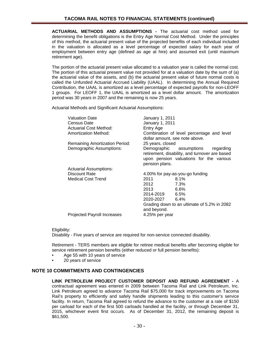**ACTUARIAL METHODS AND ASSUMPTIONS -** The actuarial cost method used for determining the benefit obligations is the Entry Age Normal Cost Method. Under the principles of this method, the actuarial present value of the projected benefits of each individual included in the valuation is allocated as a level percentage of expected salary for each year of employment between entry age (defined as age at hire) and assumed exit (until maximum retirement age).

The portion of the actuarial present value allocated to a valuation year is called the normal cost. The portion of this actuarial present value not provided for at a valuation date by the sum of (a) the actuarial value of the assets, and (b) the actuarial present value of future normal costs is called the Unfunded Actuarial Accrued Liability (UAAL). In determining the Annual Required Contribution, the UAAL is amortized as a level percentage of expected payrolls for non-LEOFF 1 groups. For LEOFF 1, the UAAL is amortized as a level dollar amount. The amortization period was 30 years in 2007 and the remaining is now 25 years.

Actuarial Methods and Significant Actuarial Assumptions:

| <b>Valuation Date</b>              | January 1, 2011                                                                                                                                                                                                                         |
|------------------------------------|-----------------------------------------------------------------------------------------------------------------------------------------------------------------------------------------------------------------------------------------|
| Census Date                        | January 1, 2011                                                                                                                                                                                                                         |
| Actuarial Cost Method:             | Entry Age                                                                                                                                                                                                                               |
| <b>Amortization Method:</b>        | Combination of level percentage and level<br>dollar amount, see note above.                                                                                                                                                             |
| Remaining Amortization Period:     | 25 years, closed                                                                                                                                                                                                                        |
| Demographic Assumptions:           | Demographic assumptions<br>regarding<br>retirement, disability, and turnover are based<br>upon pension valuations for the various<br>pension plans.                                                                                     |
| Actuarial Assumptions:             |                                                                                                                                                                                                                                         |
| Discount Rate                      | 4.00% for pay-as-you-go funding                                                                                                                                                                                                         |
| <b>Medical Cost Trend</b>          | 8.1%<br>2011 — 2011 — 2011 — 2012 — 2022 — 2022 — 2022 — 2022 — 2022 — 2022 — 2022 — 2022 — 2022 — 2022 — 2022 — 2022 — 2022 — 2022 — 2022 — 2022 — 2022 — 2022 — 2022 — 2022 — 2022 — 2022 — 2022 — 2022 — 2022 — 2022 — 2022 — 2022 — |
|                                    | 2012<br>7.3%                                                                                                                                                                                                                            |
|                                    | 2013<br>6.6%                                                                                                                                                                                                                            |
|                                    | 2014-2019 6.5%                                                                                                                                                                                                                          |
|                                    | 2020-2027 6.4%                                                                                                                                                                                                                          |
|                                    | Grading down to an ultimate of 5.2% in 2082<br>and beyond.                                                                                                                                                                              |
| <b>Projected Payroll Increases</b> | 4.25% per year                                                                                                                                                                                                                          |

Eligibility:

Disability - Five years of service are required for non-service connected disability.

Retirement - TERS members are eligible for retiree medical benefits after becoming eligible for service retirement pension benefits (either reduced or full pension benefits):

- Age 55 with 10 years of service
- 20 years of service

#### **NOTE 10 COMMITMENTS AND CONTINGENCIES**

 **LINK PETROLEUM PROJECT CUSTOMER DEPOSIT AND REFUND AGREEMENT -** A contractual agreement was entered in 2009 between Tacoma Rail and Link Petroleum, Inc. Link Petroleum agreed to advance Tacoma Rail \$75,000 for track improvements on Tacoma Rail's property to efficiently and safely handle shipments leading to this customer's service facility. In return, Tacoma Rail agreed to refund the advance to the customer at a rate of \$150 per carload for each of the first 500 carloads handled at the facility, or through December 31, 2015, whichever event first occurs. As of December 31, 2012, the remaining deposit is \$61,500.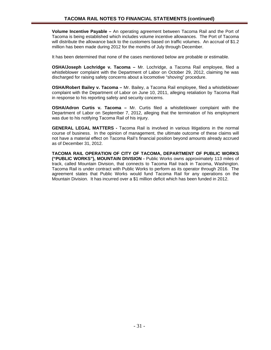**Volume Incentive Payable –** An operating agreement between Tacoma Rail and the Port of Tacoma is being established which includes volume incentive allowances. The Port of Tacoma will distribute the allowance back to the customers based on traffic volumes. An accrual of \$1.2 million has been made during 2012 for the months of July through December.

It has been determined that none of the cases mentioned below are probable or estimable.

 **OSHA/Joseph Lochridge v. Tacoma –** Mr. Lochridge, a Tacoma Rail employee, filed a whistleblower complaint with the Department of Labor on October 29, 2012, claiming he was discharged for raising safety concerns about a locomotive "shoving" procedure.

 **OSHA/Robert Bailey v. Tacoma –** Mr. Bailey, a Tacoma Rail employee, filed a whistleblower complaint with the Department of Labor on June 10, 2011, alleging retaliation by Tacoma Rail in response to his reporting safety and security concerns.

 **OSHA/Adron Curtis v. Tacoma –** Mr. Curtis filed a whistleblower complaint with the Department of Labor on September 7, 2012, alleging that the termination of his employment was due to his notifying Tacoma Rail of his injury.

**GENERAL LEGAL MATTERS -** Tacoma Rail is involved in various litigations in the normal course of business. In the opinion of management, the ultimate outcome of these claims will not have a material effect on Tacoma Rail's financial position beyond amounts already accrued as of December 31, 2012.

**TACOMA RAIL OPERATION OF CITY OF TACOMA, DEPARTMENT OF PUBLIC WORKS ("PUBLIC WORKS"), MOUNTAIN DIVISION -** Public Works owns approximately 113 miles of track, called Mountain Division, that connects to Tacoma Rail track in Tacoma, Washington. Tacoma Rail is under contract with Public Works to perform as its operator through 2016. The agreement states that Public Works would fund Tacoma Rail for any operations on the Mountain Division. It has incurred over a \$1 million deficit which has been funded in 2012.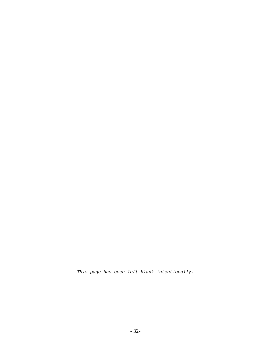*This page has been left blank intentionally.*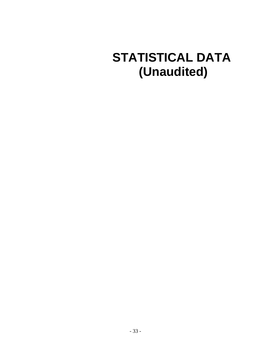## **STATISTICAL DATA (Unaudited)**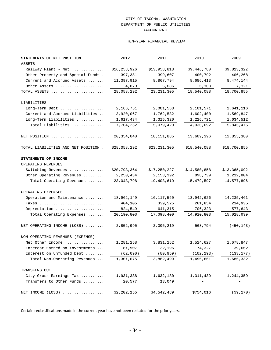#### CITY OF TACOMA, WASHINGTON DEPARTMENT OF PUBLIC UTILITIES

#### TACOMA RAIL

#### TEN-YEAR FINANCIAL REVIEW

| STATEMENTS OF NET POSITION                 | 2012         | 2011         | 2010         | 2009         |
|--------------------------------------------|--------------|--------------|--------------|--------------|
| ASSETS                                     |              |              |              |              |
| Railway Plant - Net                        | \$16,258,926 | \$13,958,818 | \$9,446,780  | \$9,813,322  |
| Other Property and Special Funds.          | 397,381      | 399,607      | 400,792      | 406,268      |
| Current and Accrued Assets                 | 11,397,915   | 8,867,794    | 8,686,413    | 8, 474, 144  |
| Other Assets                               | 4,070        | 5,086        | 6,103        | 7,121        |
| TOTAL ASSETS                               | 28,058,292   | 23, 231, 305 | 18,540,088   | 18,700,855   |
| LIABILITIES                                |              |              |              |              |
| Long-Term Debt                             | 2,166,751    | 2,001,568    | 2,101,571    | 2,641,116    |
| Current and Accrued Liabilities            | 3,920,067    | 1,762,532    | 1,602,400    | 1,569,847    |
| Long-Term Liabilities                      | 1,617,434    | 1,315,320    | 1,226,721    | 1,634,512    |
| Total Liabilities                          | 7,704,252    | 5,079,420    | 4,930,692    | 5,845,475    |
| NET POSITION                               | 20,354,040   | 18, 151, 885 | 13,609,396   | 12,855,380   |
| TOTAL LIABILITIES AND NET POSITION.        | \$28,058,292 | \$23,231,305 | \$18,540,088 | \$18,700,855 |
| STATEMENTS OF INCOME<br>OPERATING REVENUES |              |              |              |              |
| Switching Revenues                         | \$20,793,364 | \$17,250,227 | \$14,580,858 | \$13,365,092 |
| Other Operating Revenues                   | 2,250,434    | 2, 153, 392  | 898,739      | 1,212,804    |
| Total Operating Revenues                   | 23,043,798   | 19,403,619   | 15,479,597   | 14,577,896   |
| OPERATING EXPENSES                         |              |              |              |              |
| Operation and Maintenance                  | 18,962,149   | 16, 117, 560 | 13,942,626   | 14, 235, 461 |
| Taxes                                      | 404,105      | 339,525      | 261,854      | 214,935      |
| Depreciation                               | 824,549      | 641,315      | 706,323      | 577,643      |
| Total Operating Expenses                   | 20,190,803   | 17,098,400   | 14,910,803   | 15,028,039   |
| NET OPERATING INCOME (LOSS)                | 2,852,995    | 2,305,219    | 568,794      | (450, 143)   |
| NON-OPERATING REVENUES (EXPENSE)           |              |              |              |              |
| Net Other Income                           | 1,281,258    | 3,831,262    | 1,524,627    | 1,678,847    |
| Interest Earned on Investments             | 81,907       | 132,196      | 74,327       | 139,662      |
| Interest on Unfunded Debt                  | (62,090)     | (80, 959)    | (102, 293)   | (133, 177)   |
| Total Non-Operating Revenues               | 1,301,075    | 3,882,499    | 1,496,661    | 1,685,332    |
| TRANSFERS OUT                              |              |              |              |              |
| City Gross Earnings Tax                    | 1,931,338    | 1,632,180    | 1,311,439    | 1,244,359    |
| Transfers to Other Funds                   | 20,577       | 13,049       |              |              |
| NET INCOME $(LOSS)$                        | \$2,202,155  | \$4,542,489  | \$754,016    | (59, 170)    |

Certain reclassifications made in the current year have not been restated for the prior years.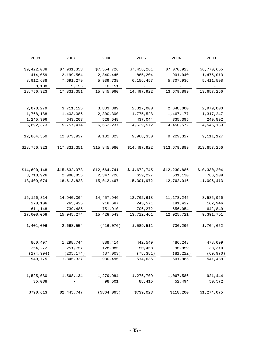| 2008         | 2007         | 2006          | 2005         | 2004         | 2003         |
|--------------|--------------|---------------|--------------|--------------|--------------|
|              |              |               |              |              |              |
| \$9,422,038  | \$7,931,353  | \$7,554,726   | \$7,456,261  | \$7,070,923  | \$6,770,655  |
| 414,059      | 2,199,564    | 2,340,445     | 885,204      | 901,040      | 1,475,013    |
| 8,912,688    | 7,691,279    | 5,939,738     | 6,156,457    | 5,707,936    | 5,411,598    |
| 8,138        | 9,155        | 10,151        |              |              |              |
| 18,756,923   | 17,831,351   | 15,845,060    | 14,497,922   | 13,679,899   | 13,657,266   |
|              |              |               |              |              |              |
|              |              |               |              |              |              |
| 2,878,279    | 3,711,125    | 3,833,389     | 2,317,000    | 2,648,000    | 2,979,000    |
| 1,768,188    | 1,403,086    | 2,300,300     | 1,775,528    | 1,467,177    | 1,317,247    |
| 1,245,906    | 643,203      | 528,548       | 437,044      | 335,395      | 249,892      |
| 5,892,373    | 5,757,414    | 6,662,237     | 4,529,572    | 4,450,572    | 4,546,139    |
| 12,864,550   | 12,073,937   | 9,182,823     | 9,968,350    | 9,229,327    | 9,111,127    |
|              |              |               |              |              |              |
| \$18,756,923 | \$17,831,351 | \$15,845,060  | \$14,497,922 | \$13,679,899 | \$13,657,266 |
|              |              |               |              |              |              |
|              |              |               |              |              |              |
|              |              |               |              |              |              |
| \$14,690,148 | \$15,632,973 | \$12,664,741  | \$14,672,745 | \$12,230,886 | \$10,330,204 |
| 3,718,926    | 2,980,855    | 2,347,726     | 629,227      | 531,130      | 766,209      |
| 18,409,074   | 18,613,828   | 15,012,467    | 15, 301, 972 | 12,762,016   | 11,096,413   |
|              |              |               |              |              |              |
|              |              |               |              |              |              |
| 16,126,814   | 14,940,364   | 14,457,946    | 12,762,618   | 11,178,245   | 8,585,966    |
| 270,106      | 265,425      | 218,687       | 243,571      | 191,422      | 162,946      |
| 611,148      | 739,485      | 751,910       | 706,272      | 656,054      | 642,849      |
| 17,008,068   | 15,945,274   | 15, 428, 543  | 13,712,461   | 12,025,721   | 9,391,761    |
|              |              |               |              |              |              |
| 1,401,006    | 2,668,554    | (416, 076)    | 1,589,511    | 736,295      | 1,704,652    |
|              |              |               |              |              |              |
| 860,497      | 1,298,744    | 889,414       | 442,549      | 486,248      | 478,099      |
| 264,272      | 251,757      | 128,085       | 150,468      | 96,959       | 133,310      |
| (174, 994)   | (205, 174)   | (87,003)      | (78, 381)    | (81, 222)    | (69, 970)    |
| 949,775      | 1,345,327    | 930,496       | 514,636      | 501,985      | 541,439      |
|              |              |               |              |              |              |
|              |              |               |              |              |              |
| 1,525,080    | 1,568,134    | 1,279,984     | 1,276,709    | 1,067,586    | 921,444      |
| 35,088       |              | 98,501        | 88,415       | 52,494       | 50,572       |
|              |              |               |              |              |              |
| \$790,613    | \$2,445,747  | ( \$864, 065) | \$739,023    | \$118,200    | \$1,274,075  |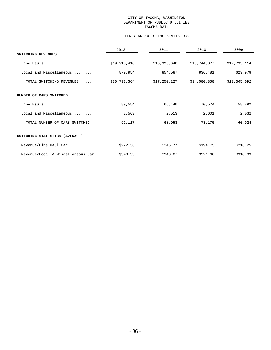#### CITY OF TACOMA, WASHINGTON DEPARTMENT OF PUBLIC UTILITIES TACOMA RAIL

#### TEN-YEAR SWITCHING STATISTICS

|                                   | 2012         | 2011         | 2010         | 2009         |
|-----------------------------------|--------------|--------------|--------------|--------------|
| SWITCHING REVENUES                |              |              |              |              |
| Line Hauls                        | \$19,913,410 | \$16,395,640 | \$13,744,377 | \$12,735,114 |
| Local and Miscellaneous           | 879,954      | 854,587      | 836,481      | 629,978      |
| TOTAL SWITCHING REVENUES          | \$20,793,364 | \$17,250,227 | \$14,580,858 | \$13,365,092 |
| NUMBER OF CARS SWITCHED           |              |              |              |              |
| Line Hauls                        | 89,554       | 66,440       | 70,574       | 58,892       |
| Local and Miscellaneous           | 2,563        | 2,513        | 2,601        | 2,032        |
| TOTAL NUMBER OF CARS SWITCHED.    | 92,117       | 68,953       | 73,175       | 60,924       |
| SWITCHING STATISTICS (AVERAGE)    |              |              |              |              |
| Revenue/Line Haul Car             | \$222.36     | \$246.77     | \$194.75     | \$216.25     |
| Revenue/Local & Miscellaneous Car | \$343.33     | \$340.07     | \$321.60     | \$310.03     |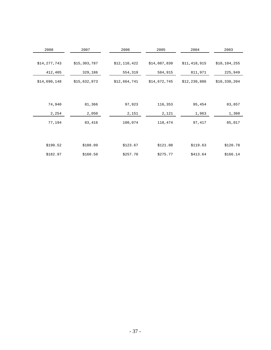| 2008         | 2007         | 2006         | 2005         | 2004         | 2003           |
|--------------|--------------|--------------|--------------|--------------|----------------|
|              |              |              |              |              |                |
| \$14,277,743 | \$15,303,787 | \$12,110,422 | \$14,087,830 | \$11,418,915 | \$10, 104, 255 |
| 412,405      | 329,186      | 554,319      | 584,915      | 811,971      | 225,949        |
| \$14,690,148 | \$15,632,973 | \$12,664,741 | \$14,672,745 | \$12,230,886 | \$10,330,204   |
|              |              |              |              |              |                |
|              |              |              |              |              |                |
| 74,940       | 81,366       | 97,923       | 116,353      | 95,454       | 83,657         |
| 2,254        | 2,050        | 2,151        | 2,121        | 1,963        | 1,360          |
| 77,194       | 83,416       | 100,074      | 118,474      | 97,417       | 85,017         |
|              |              |              |              |              |                |
|              |              |              |              |              |                |
| \$190.52     | \$188.09     | \$123.67     | \$121.08     | \$119.63     | \$120.78       |
| \$182.97     | \$160.58     | \$257.70     | \$275.77     | \$413.64     | \$166.14       |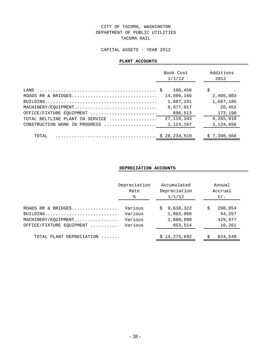#### CITY OF TACOMA, WASHINGTON DEPARTMENT OF PUBLIC UTILITIES TACOMA RAIL

#### CAPITAL ASSETS - YEAR 2012

#### **PLANT ACCOUNTS**

|                                 | Book Cost<br>1/1/12 | Additions<br>2012 |
|---------------------------------|---------------------|-------------------|
| T.AND                           | 160,456             | \$                |
| ROADS RR & BRIDGES              | 14,089,166          | 2,405,083         |
|                                 | 1,987,191           | 1,667,185         |
| MACHINERY/EOUIPMENT             | 9,977,017           | 20,452            |
| OFFICE/FIXTURE EOUIPMENT        | 896,513             | 173,190           |
| TOTAL BELTLINE PLANT IN SERVICE | 27, 110, 343        | 4,265,910         |
| CONSTRUCTION WORK IN PROGRESS   | 1,124,167           | 3,124,656         |
| TOTAL.                          |                     | \$7,390,566       |

#### **DEPRECIATION ACCOUNTS**

|                                    | Depreciation<br>Rate | Accumulated<br>Depreciation |   | Annual<br>Accrual |
|------------------------------------|----------------------|-----------------------------|---|-------------------|
|                                    | °                    | 1/1/12                      |   | Cr.               |
| ROADS RR & BRIDGES                 | Various              | 9,638,322                   | Ŝ | 290,054           |
| BUILDING                           | Various              | 1,802,966                   |   | 94,257            |
| MACHINERY/EQUIPMENT                | Various              | 1,980,890                   |   | 429,977           |
| OFFICE/FIXTURE EQUIPMENT           | Various              | 853,514                     |   | 10,261            |
| TOTAL PLANT DEPRECIATION<br>$\sim$ |                      | \$14,275,692                |   | 824,549           |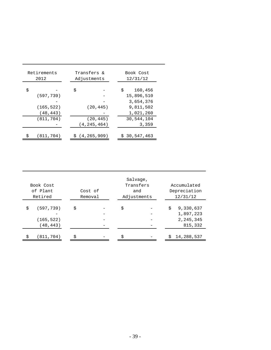| Retirements<br>2012 | Transfers &<br>Adjustments |    | Book Cost<br>12/31/12 |
|---------------------|----------------------------|----|-----------------------|
| \$                  | \$                         | \$ | 160,456               |
| (597, 739)          |                            |    | 15,896,510            |
|                     |                            |    | 3,654,376             |
| (165, 522)          | (20.445)                   |    | 9,811,502             |
| (48, 443)           |                            |    | 1,021,260             |
| (811, 704)          | (20, 445)                  |    | 30,544,104            |
|                     | (4, 245, 464)              |    | 3,359                 |
|                     |                            |    |                       |
| \$<br>(811, 704)    | \$(4, 265, 909)            |    | \$30,547,463          |

| Book Cost<br>of Plant<br>Retired            |    | Cost of<br>Removal |    | Salvage,<br>Transfers<br>and<br>Adjustments | Accumulated<br>Depreciation<br>12/31/12                |
|---------------------------------------------|----|--------------------|----|---------------------------------------------|--------------------------------------------------------|
| \$<br>(597, 739)<br>(165, 522)<br>(48, 443) | \$ |                    | \$ |                                             | \$<br>9,330,637<br>1,897,223<br>2, 245, 345<br>815,332 |
| Ś<br>(811, 704)                             | Ś  |                    | Ś  |                                             | 14,288,537                                             |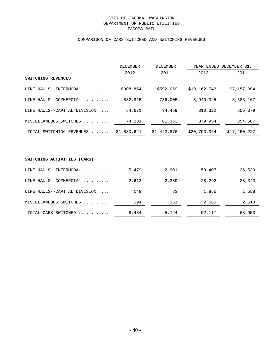#### CITY OF TACOMA, WASHINGTON TACOMA RAIL DEPARTMENT OF PUBLIC UTILITIES

#### COMPARISON OF CARS SWITCHED AND SWITCHING REVENUES

|                                                                        | DECEMBER    | DECEMBER    |              | YEAR ENDED DECEMBER 31, |
|------------------------------------------------------------------------|-------------|-------------|--------------|-------------------------|
|                                                                        | 2012        | 2011        | 2012         | 2011                    |
| SWITCHING REVENUES                                                     |             |             |              |                         |
| LINE HAULS--INTERMODAL                                                 | \$908,854   | \$592,059   | \$10,162,743 | \$7,157,094             |
| LINE HAULS--COMMERCIAL<br>.                                            | 832,815     | 736,005     | 8,940,345    | 8,583,167               |
| LINE HAULS--CAPITAL DIVISION<br>$\mathbf{1}$ $\mathbf{1}$ $\mathbf{1}$ | 64,671      | 34,459      | 810,322      | 655,379                 |
| MISCELLANEOUS<br>SWITCHES<br>.                                         | 74,281      | 81,353      | 879,954      | 854,587                 |
| TOTAL SWITCHING REVENUES                                               | \$1,880,621 | \$1,443,876 | \$20,793,364 | \$17,250,227            |

#### **SWITCHING ACTIVITIES (CARS)**

| LINE HAULS--INTERMODAL       | 5,479 | 2,901 | 59,407 | 36,539 |
|------------------------------|-------|-------|--------|--------|
| LINE HAULS--COMMERCIAL       | 2,612 | 2,389 | 28,292 | 28,343 |
| LINE HAULS--CAPITAL DIVISION | 149   | 83    | 1,855  | 1,558  |
| MISCELLANEOUS SWITCHES       | 194   | 351   | 2,563  | 2,513  |
| TOTAL CARS SWITCHED          | 8,434 | 5,724 | 92,117 | 68,953 |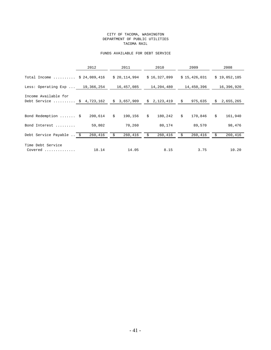#### CITY OF TACOMA, WASHINGTON DEPARTMENT OF PUBLIC UTILITIES TACOMA RAIL

#### FUNDS AVAILABLE FOR DEBT SERVICE

|                                                                                                              | 2012 |         | 2011 |              | 2010 |              | 2009 |              | 2008 |              |
|--------------------------------------------------------------------------------------------------------------|------|---------|------|--------------|------|--------------|------|--------------|------|--------------|
| Total Income $$24,089,416$                                                                                   |      |         |      | \$20,114,994 |      | \$16,327,899 |      | \$15,426,031 |      | \$19,052,185 |
| Less: Operating Exp $19,366,254$                                                                             |      |         |      | 16,457,085   |      | 14,204,480   |      | 14,450,396   |      | 16,396,920   |
| Income Available for<br>Debt Service $\frac{1}{5}$ 4,723,162 $\frac{1}{5}$ 3,657,909 $\frac{1}{5}$ 2,123,419 |      |         |      |              |      |              | - \$ | 975,635      |      | \$2,655,265  |
| Bond Redemption  \$                                                                                          |      | 200,614 | \$   | 190,156      | \$   | 180,242      | \$   | 170,846      | S.   | 161,940      |
| Bond Interest                                                                                                |      | 59,802  |      | 70,260       |      | 80,174       |      | 89,570       |      | 98,476       |
| Debt Service Payable  \$                                                                                     |      | 260,416 | Ŝ.   | 260,416      |      | 260,416      |      | 260,416      |      | 260,416      |
| Time Debt Service<br>Covered                                                                                 |      | 18.14   |      | 14.05        |      | 8.15         |      | 3.75         |      | 10.20        |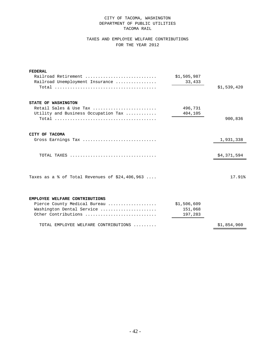#### CITY OF TACOMA, WASHINGTON DEPARTMENT OF PUBLIC UTILITIES TACOMA RAIL

#### TAXES AND EMPLOYEE WELFARE CONTRIBUTIONS FOR THE YEAR 2012

| <b>FEDERAL</b>                                                         |             |
|------------------------------------------------------------------------|-------------|
| Railroad Retirement<br>\$1,505,987                                     |             |
| Railroad Unemployment Insurance<br>33,433                              |             |
|                                                                        | \$1,539,420 |
|                                                                        |             |
| STATE OF WASHINGTON                                                    |             |
| Retail Sales & Use Tax<br>496,731                                      |             |
| Utility and Business Occupation Tax<br>404,105                         |             |
|                                                                        | 900,836     |
| CITY OF TACOMA                                                         |             |
|                                                                        | 1,931,338   |
| Gross Earnings Tax                                                     |             |
|                                                                        |             |
| TOTAL TAXES                                                            | \$4,371,594 |
|                                                                        |             |
|                                                                        |             |
|                                                                        |             |
| Taxes as a $\frac{1}{6}$ of Total Revenues of $\frac{1}{6}$ 24,406,963 | 17.91%      |
|                                                                        |             |
|                                                                        |             |
|                                                                        |             |
| EMPLOYEE WELFARE CONTRIBUTIONS                                         |             |
| Pierce County Medical Bureau<br>\$1,506,609                            |             |
| Washington Dental Service<br>151,068                                   |             |
| Other Contributions<br>197,283                                         |             |
| TOTAL EMPLOYEE WELFARE CONTRIBUTIONS                                   | \$1,854,960 |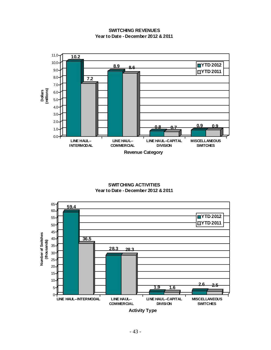#### **SWITCHING REVENUES Year to Date - December 2012 & 2011**



**SWITCHING ACTIVITIES Year to Date - December 2012 & 2011**

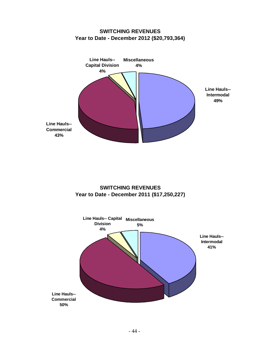



**SWITCHING REVENUES Year to Date - December 2011 (\$17,250,227)**

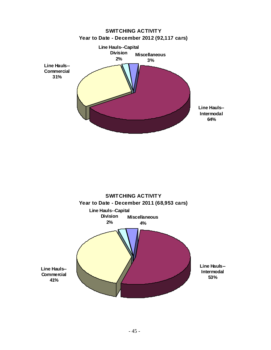

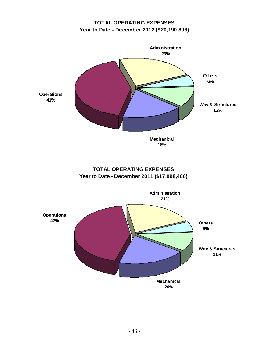#### **TOTAL OPERATING EXPENSES Year to Date - December 2012 (\$20,190,803)**

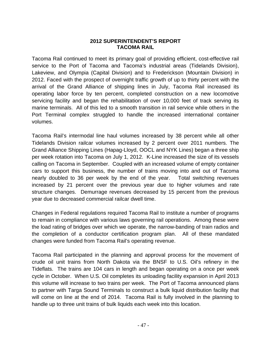#### **2012 SUPERINTENDENT'S REPORT TACOMA RAIL**

Tacoma Rail continued to meet its primary goal of providing efficient, cost-effective rail service to the Port of Tacoma and Tacoma's industrial areas (Tidelands Division), Lakeview, and Olympia (Capital Division) and to Frederickson (Mountain Division) in 2012. Faced with the prospect of overnight traffic growth of up to thirty percent with the arrival of the Grand Alliance of shipping lines in July, Tacoma Rail increased its operating labor force by ten percent, completed construction on a new locomotive servicing facility and began the rehabilitation of over 10,000 feet of track serving its marine terminals. All of this led to a smooth transition in rail service while others in the Port Terminal complex struggled to handle the increased international container volumes.

Tacoma Rail's intermodal line haul volumes increased by 38 percent while all other Tidelands Division railcar volumes increased by 2 percent over 2011 numbers. The Grand Alliance Shipping Lines (Hapag-Lloyd, OOCL and NYK Lines) began a three ship per week rotation into Tacoma on July 1, 2012. K-Line increased the size of its vessels calling on Tacoma in September. Coupled with an increased volume of empty container cars to support this business, the number of trains moving into and out of Tacoma nearly doubled to 36 per week by the end of the year. Total switching revenues increased by 21 percent over the previous year due to higher volumes and rate structure changes. Demurrage revenues decreased by 15 percent from the previous year due to decreased commercial railcar dwell time.

Changes in Federal regulations required Tacoma Rail to institute a number of programs to remain in compliance with various laws governing rail operations. Among these were the load rating of bridges over which we operate, the narrow-banding of train radios and the completion of a conductor certification program plan. All of these mandated changes were funded from Tacoma Rail's operating revenue.

Tacoma Rail participated in the planning and approval process for the movement of crude oil unit trains from North Dakota via the BNSF to U.S. Oil's refinery in the Tideflats. The trains are 104 cars in length and began operating on a once per week cycle in October. When U.S. Oil completes its unloading facility expansion in April 2013 this volume will increase to two trains per week. The Port of Tacoma announced plans to partner with Targa Sound Terminals to construct a bulk liquid distribution facility that will come on line at the end of 2014. Tacoma Rail is fully involved in the planning to handle up to three unit trains of bulk liquids each week into this location.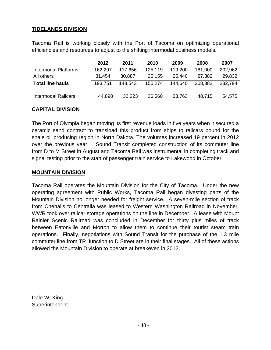#### **TIDELANDS DIVISION**

Tacoma Rail is working closely with the Port of Tacoma on optimizing operational efficiencies and resources to adjust to the shifting intermodal business models.

|                            | 2012    | 2011    | 2010    | 2009    | 2008    | 2007    |
|----------------------------|---------|---------|---------|---------|---------|---------|
| Intermodal Platforms       | 162.297 | 117,656 | 125,119 | 119,200 | 181,000 | 202,962 |
| All others                 | 31.454  | 30,887  | 25,155  | 25.440  | 27,382  | 29,832  |
| <b>Total line hauls</b>    | 193.751 | 148.543 | 150.274 | 144.640 | 208.382 | 232.794 |
| <b>Intermodal Railcars</b> | 44,898  | 32,223  | 36,560  | 33,763  | 48,715  | 54,575  |

#### **CAPITAL DIVISION**

The Port of Olympia began moving its first revenue loads in five years when it secured a ceramic sand contract to transload this product from ships to railcars bound for the shale oil producing region in North Dakota. The volumes increased 19 percent in 2012 over the previous year. Sound Transit completed construction of its commuter line from D to M Street in August and Tacoma Rail was instrumental in completing track and signal testing prior to the start of passenger train service to Lakewood in October.

#### **MOUNTAIN DIVISION**

Tacoma Rail operates the Mountain Division for the City of Tacoma. Under the new operating agreement with Public Works, Tacoma Rail began divesting parts of the Mountain Division no longer needed for freight service. A seven-mile section of track from Chehalis to Centralia was leased to Western Washington Railroad in November. WWR took over railcar storage operations on the line in December. A lease with Mount Rainier Scenic Railroad was concluded in December for thirty plus miles of track between Eatonville and Morton to allow them to continue their tourist steam train operations. Finally, negotiations with Sound Transit for the purchase of the 1.3 mile commuter line from TR Junction to D Street are in their final stages. All of these actions allowed the Mountain Division to operate at breakeven in 2012.

Dale W. King **Superintendent**